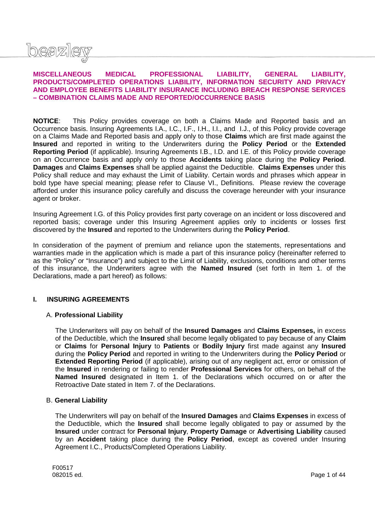

### **MISCELLANEOUS MEDICAL PROFESSIONAL LIABILITY, GENERAL LIABILITY, PRODUCTS/COMPLETED OPERATIONS LIABILITY, INFORMATION SECURITY AND PRIVACY AND EMPLOYEE BENEFITS LIABILITY INSURANCE INCLUDING BREACH RESPONSE SERVICES – COMBINATION CLAIMS MADE AND REPORTED/OCCURRENCE BASIS**

**NOTICE**: This Policy provides coverage on both a Claims Made and Reported basis and an Occurrence basis. Insuring Agreements I.A., I.C., I.F., I.H., I.I., and I.J., of this Policy provide coverage on a Claims Made and Reported basis and apply only to those **Claims** which are first made against the **Insured** and reported in writing to the Underwriters during the **Policy Period** or the **Extended Reporting Period** (if applicable). Insuring Agreements I.B., I.D. and I.E. of this Policy provide coverage on an Occurrence basis and apply only to those **Accidents** taking place during the **Policy Period**. **Damages** and **Claims Expenses** shall be applied against the Deductible. **Claims Expenses** under this Policy shall reduce and may exhaust the Limit of Liability. Certain words and phrases which appear in bold type have special meaning; please refer to Clause VI., Definitions. Please review the coverage afforded under this insurance policy carefully and discuss the coverage hereunder with your insurance agent or broker.

Insuring Agreement I.G. of this Policy provides first party coverage on an incident or loss discovered and reported basis; coverage under this Insuring Agreement applies only to incidents or losses first discovered by the **Insured** and reported to the Underwriters during the **Policy Period**.

In consideration of the payment of premium and reliance upon the statements, representations and warranties made in the application which is made a part of this insurance policy (hereinafter referred to as the "Policy" or "Insurance") and subject to the Limit of Liability, exclusions, conditions and other terms of this insurance, the Underwriters agree with the **Named Insured** (set forth in Item 1. of the Declarations, made a part hereof) as follows:

### **I. INSURING AGREEMENTS**

### A. **Professional Liability**

The Underwriters will pay on behalf of the **Insured Damages** and **Claims Expenses,** in excess of the Deductible, which the **Insured** shall become legally obligated to pay because of any **Claim** or **Claims** for **Personal Injury** to **Patients** or **Bodily Injury** first made against any **Insured** during the **Policy Period** and reported in writing to the Underwriters during the **Policy Period** or **Extended Reporting Period** (if applicable), arising out of any negligent act, error or omission of the **Insured** in rendering or failing to render **Professional Services** for others, on behalf of the **Named Insured** designated in Item 1. of the Declarations which occurred on or after the Retroactive Date stated in Item 7. of the Declarations.

### B. **General Liability**

The Underwriters will pay on behalf of the **Insured Damages** and **Claims Expenses** in excess of the Deductible, which the **Insured** shall become legally obligated to pay or assumed by the **Insured** under contract for **Personal Injury**, **Property Damage** or **Advertising Liability** caused by an **Accident** taking place during the **Policy Period**, except as covered under Insuring Agreement I.C., Products/Completed Operations Liability.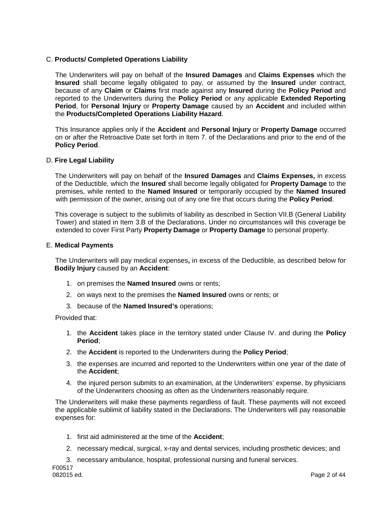# C. **Products/ Completed Operations Liability**

The Underwriters will pay on behalf of the **Insured Damages** and **Claims Expenses** which the **Insured** shall become legally obligated to pay, or assumed by the **Insured** under contract, because of any **Claim** or **Claims** first made against any **Insured** during the **Policy Period** and reported to the Underwriters during the **Policy Period** or any applicable **Extended Reporting Period**, for **Personal Injury** or **Property Damage** caused by an **Accident** and included within the **Products/Completed Operations Liability Hazard**.

This Insurance applies only if the **Accident** and **Personal Injury** or **Property Damage** occurred on or after the Retroactive Date set forth in Item 7. of the Declarations and prior to the end of the **Policy Period**.

### D. **Fire Legal Liability**

The Underwriters will pay on behalf of the **Insured Damages** and **Claims Expenses,** in excess of the Deductible, which the **Insured** shall become legally obligated for **Property Damage** to the premises, while rented to the **Named Insured** or temporarily occupied by the **Named Insured** with permission of the owner, arising out of any one fire that occurs during the **Policy Period**.

This coverage is subject to the sublimits of liability as described in Section VII.B (General Liability Tower) and stated in Item 3.B of the Declarations. Under no circumstances will this coverage be extended to cover First Party **Property Damage** or **Property Damage** to personal property.

### E. **Medical Payments**

The Underwriters will pay medical expenses**,** in excess of the Deductible, as described below for **Bodily Injury** caused by an **Accident**:

- 1. on premises the **Named Insured** owns or rents;
- 2. on ways next to the premises the **Named Insured** owns or rents; or
- 3. because of the **Named Insured's** operations;

Provided that:

- 1. the **Accident** takes place in the territory stated under Clause IV. and during the **Policy Period**;
- 2. the **Accident** is reported to the Underwriters during the **Policy Period**;
- 3. the expenses are incurred and reported to the Underwriters within one year of the date of the **Accident**;
- 4. the injured person submits to an examination, at the Underwriters' expense, by physicians of the Underwriters choosing as often as the Underwriters reasonably require.

The Underwriters will make these payments regardless of fault. These payments will not exceed the applicable sublimit of liability stated in the Declarations. The Underwriters will pay reasonable expenses for:

- 1. first aid administered at the time of the **Accident**;
- 2. necessary medical, surgical, x-ray and dental services, including prosthetic devices; and
- 3. necessary ambulance, hospital, professional nursing and funeral services.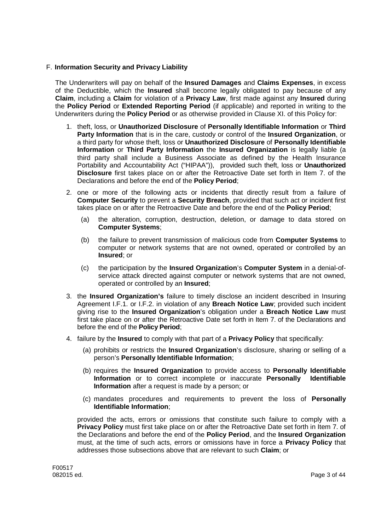## F. **Information Security and Privacy Liability**

The Underwriters will pay on behalf of the **Insured Damages** and **Claims Expenses**, in excess of the Deductible, which the **Insured** shall become legally obligated to pay because of any **Claim**, including a **Claim** for violation of a **Privacy Law**, first made against any **Insured** during the **Policy Period** or **Extended Reporting Period** (if applicable) and reported in writing to the Underwriters during the **Policy Period** or as otherwise provided in Clause XI. of this Policy for:

- 1. theft, loss, or **Unauthorized Disclosure** of **Personally Identifiable Information** or **Third Party Information** that is in the care, custody or control of the **Insured Organization**, or a third party for whose theft, loss or **Unauthorized Disclosure** of **Personally Identifiable Information** or **Third Party Information** the **Insured Organization** is legally liable (a third party shall include a Business Associate as defined by the Health Insurance Portability and Accountability Act ("HIPAA")), provided such theft, loss or **Unauthorized Disclosure** first takes place on or after the Retroactive Date set forth in Item 7. of the Declarations and before the end of the **Policy Period**;
- 2. one or more of the following acts or incidents that directly result from a failure of **Computer Security** to prevent a **Security Breach**, provided that such act or incident first takes place on or after the Retroactive Date and before the end of the **Policy Period**;
	- (a) the alteration, corruption, destruction, deletion, or damage to data stored on **Computer Systems**;
	- (b) the failure to prevent transmission of malicious code from **Computer Systems** to computer or network systems that are not owned, operated or controlled by an **Insured**; or
	- (c) the participation by the **Insured Organization**'s **Computer System** in a denial-ofservice attack directed against computer or network systems that are not owned, operated or controlled by an **Insured**;
- 3. the **Insured Organization's** failure to timely disclose an incident described in Insuring Agreement I.F.1. or I.F.2. in violation of any **Breach Notice Law**; provided such incident giving rise to the **Insured Organization**'s obligation under a **Breach Notice Law** must first take place on or after the Retroactive Date set forth in Item 7. of the Declarations and before the end of the **Policy Period**;
- 4. failure by the **Insured** to comply with that part of a **Privacy Policy** that specifically:
	- (a) prohibits or restricts the **Insured Organization**'s disclosure, sharing or selling of a person's **Personally Identifiable Information**;
	- (b) requires the **Insured Organization** to provide access to **Personally Identifiable Information** or to correct incomplete or inaccurate **Personally Identifiable Information** after a request is made by a person; or
	- (c) mandates procedures and requirements to prevent the loss of **Personally Identifiable Information**;

provided the acts, errors or omissions that constitute such failure to comply with a **Privacy Policy** must first take place on or after the Retroactive Date set forth in Item 7. of the Declarations and before the end of the **Policy Period**, and the **Insured Organization** must, at the time of such acts, errors or omissions have in force a **Privacy Policy** that addresses those subsections above that are relevant to such **Claim**; or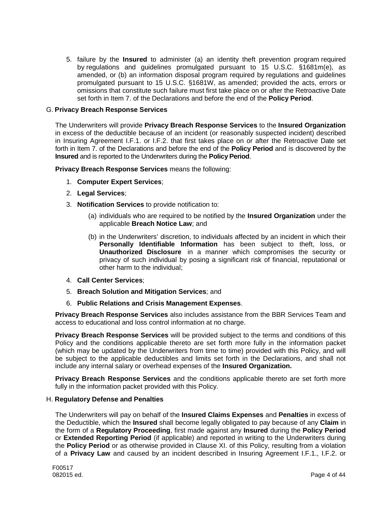5. failure by the **Insured** to administer (a) an identity theft prevention program required by regulations and guidelines promulgated pursuant to 15 U.S.C. §1681m(e), as amended, or (b) an information disposal program required by regulations and guidelines promulgated pursuant to 15 U.S.C. §1681W, as amended; provided the acts, errors or omissions that constitute such failure must first take place on or after the Retroactive Date set forth in Item 7. of the Declarations and before the end of the **Policy Period**.

### G. **Privacy Breach Response Services**

The Underwriters will provide **Privacy Breach Response Services** to the **Insured Organization** in excess of the deductible because of an incident (or reasonably suspected incident) described in Insuring Agreement I.F.1. or I.F.2. that first takes place on or after the Retroactive Date set forth in Item 7. of the Declarations and before the end of the **Policy Period** and is discovered by the **Insured** and is reported to the Underwriters during the **Policy Period**.

**Privacy Breach Response Services** means the following:

- 1. **Computer Expert Services**;
- 2. **Legal Services**;
- 3. **Notification Services** to provide notification to:
	- (a) individuals who are required to be notified by the **Insured Organization** under the applicable **Breach Notice Law**; and
	- (b) in the Underwriters' discretion, to individuals affected by an incident in which their **Personally Identifiable Information** has been subject to theft, loss, or **Unauthorized Disclosure** in a manner which compromises the security or privacy of such individual by posing a significant risk of financial, reputational or other harm to the individual;
- 4. **Call Center Services**;
- 5. **Breach Solution and Mitigation Services**; and
- 6. **Public Relations and Crisis Management Expenses**.

**Privacy Breach Response Services** also includes assistance from the BBR Services Team and access to educational and loss control information at no charge.

**Privacy Breach Response Services** will be provided subject to the terms and conditions of this Policy and the conditions applicable thereto are set forth more fully in the information packet (which may be updated by the Underwriters from time to time) provided with this Policy, and will be subject to the applicable deductibles and limits set forth in the Declarations, and shall not include any internal salary or overhead expenses of the **Insured Organization.**

**Privacy Breach Response Services** and the conditions applicable thereto are set forth more fully in the information packet provided with this Policy.

### H. **Regulatory Defense and Penalties**

The Underwriters will pay on behalf of the **Insured Claims Expenses** and **Penalties** in excess of the Deductible, which the **Insured** shall become legally obligated to pay because of any **Claim** in the form of a **Regulatory Proceeding**, first made against any **Insured** during the **Policy Period** or **Extended Reporting Period** (if applicable) and reported in writing to the Underwriters during the **Policy Period** or as otherwise provided in Clause XI. of this Policy, resulting from a violation of a **Privacy Law** and caused by an incident described in Insuring Agreement I.F.1., I.F.2. or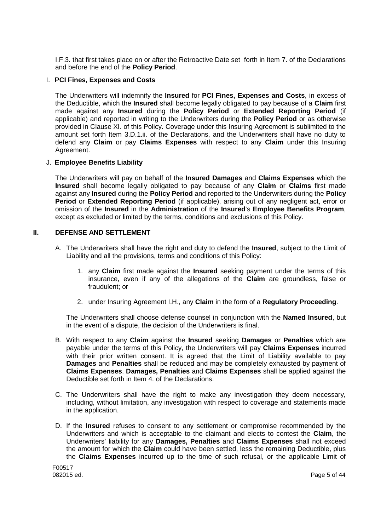I.F.3. that first takes place on or after the Retroactive Date set forth in Item 7. of the Declarations and before the end of the **Policy Period**.

### I. **PCI Fines, Expenses and Costs**

The Underwriters will indemnify the **Insured** for **PCI Fines, Expenses and Costs**, in excess of the Deductible, which the **Insured** shall become legally obligated to pay because of a **Claim** first made against any **Insured** during the **Policy Period** or **Extended Reporting Period** (if applicable) and reported in writing to the Underwriters during the **Policy Period** or as otherwise provided in Clause XI. of this Policy. Coverage under this Insuring Agreement is sublimited to the amount set forth Item 3.D.1.ii. of the Declarations, and the Underwriters shall have no duty to defend any **Claim** or pay **Claims Expenses** with respect to any **Claim** under this Insuring Agreement.

## J. **Employee Benefits Liability**

The Underwriters will pay on behalf of the **Insured Damages** and **Claims Expenses** which the **Insured** shall become legally obligated to pay because of any **Claim** or **Claims** first made against any **Insured** during the **Policy Period** and reported to the Underwriters during the **Policy Period** or **Extended Reporting Period** (if applicable), arising out of any negligent act, error or omission of the **Insured** in the **Administration** of the **Insured**'s **Employee Benefits Program**, except as excluded or limited by the terms, conditions and exclusions of this Policy.

## **II. DEFENSE AND SETTLEMENT**

- A. The Underwriters shall have the right and duty to defend the **Insured**, subject to the Limit of Liability and all the provisions, terms and conditions of this Policy:
	- 1. any **Claim** first made against the **Insured** seeking payment under the terms of this insurance, even if any of the allegations of the **Claim** are groundless, false or fraudulent; or
	- 2. under Insuring Agreement I.H., any **Claim** in the form of a **Regulatory Proceeding**.

The Underwriters shall choose defense counsel in conjunction with the **Named Insured**, but in the event of a dispute, the decision of the Underwriters is final.

- B. With respect to any **Claim** against the **Insured** seeking **Damages** or **Penalties** which are payable under the terms of this Policy, the Underwriters will pay **Claims Expenses** incurred with their prior written consent. It is agreed that the Limit of Liability available to pay **Damages** and **Penalties** shall be reduced and may be completely exhausted by payment of **Claims Expenses**. **Damages, Penalties** and **Claims Expenses** shall be applied against the Deductible set forth in Item 4. of the Declarations.
- C. The Underwriters shall have the right to make any investigation they deem necessary, including, without limitation, any investigation with respect to coverage and statements made in the application.
- D. If the **Insured** refuses to consent to any settlement or compromise recommended by the Underwriters and which is acceptable to the claimant and elects to contest the **Claim**, the Underwriters' liability for any **Damages, Penalties** and **Claims Expenses** shall not exceed the amount for which the **Claim** could have been settled, less the remaining Deductible, plus the **Claims Expenses** incurred up to the time of such refusal, or the applicable Limit of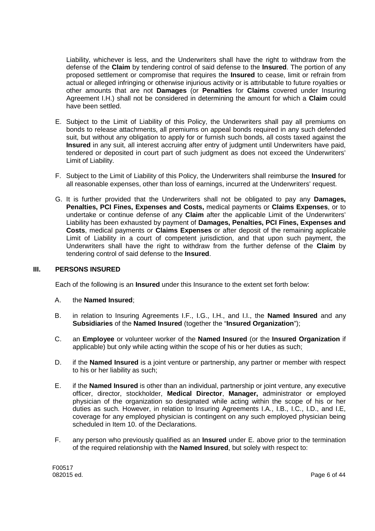Liability, whichever is less, and the Underwriters shall have the right to withdraw from the defense of the **Claim** by tendering control of said defense to the **Insured**. The portion of any proposed settlement or compromise that requires the **Insured** to cease, limit or refrain from actual or alleged infringing or otherwise injurious activity or is attributable to future royalties or other amounts that are not **Damages** (or **Penalties** for **Claims** covered under Insuring Agreement I.H.) shall not be considered in determining the amount for which a **Claim** could have been settled.

- E. Subject to the Limit of Liability of this Policy, the Underwriters shall pay all premiums on bonds to release attachments, all premiums on appeal bonds required in any such defended suit, but without any obligation to apply for or furnish such bonds, all costs taxed against the **Insured** in any suit, all interest accruing after entry of judgment until Underwriters have paid, tendered or deposited in court part of such judgment as does not exceed the Underwriters' Limit of Liability.
- F. Subject to the Limit of Liability of this Policy, the Underwriters shall reimburse the **Insured** for all reasonable expenses, other than loss of earnings, incurred at the Underwriters' request.
- G. It is further provided that the Underwriters shall not be obligated to pay any **Damages, Penalties, PCI Fines, Expenses and Costs,** medical payments or **Claims Expenses**, or to undertake or continue defense of any **Claim** after the applicable Limit of the Underwriters' Liability has been exhausted by payment of **Damages, Penalties, PCI Fines, Expenses and Costs**, medical payments or **Claims Expenses** or after deposit of the remaining applicable Limit of Liability in a court of competent jurisdiction, and that upon such payment, the Underwriters shall have the right to withdraw from the further defense of the **Claim** by tendering control of said defense to the **Insured**.

### **III. PERSONS INSURED**

Each of the following is an **Insured** under this Insurance to the extent set forth below:

#### A. the **Named Insured**;

- B. in relation to Insuring Agreements I.F., I.G., I.H., and I.I., the **Named Insured** and any **Subsidiaries** of the **Named Insured** (together the "**Insured Organization**");
- C. an **Employee** or volunteer worker of the **Named Insured** (or the **Insured Organization** if applicable) but only while acting within the scope of his or her duties as such;
- D. if the **Named Insured** is a joint venture or partnership, any partner or member with respect to his or her liability as such;
- E. if the **Named Insured** is other than an individual, partnership or joint venture, any executive officer, director, stockholder, **Medical Director**, **Manager,** administrator or employed physician of the organization so designated while acting within the scope of his or her duties as such. However, in relation to Insuring Agreements I.A., I.B., I.C., I.D., and I.E, coverage for any employed physician is contingent on any such employed physician being scheduled in Item 10. of the Declarations.
- F. any person who previously qualified as an **Insured** under E. above prior to the termination of the required relationship with the **Named Insured**, but solely with respect to: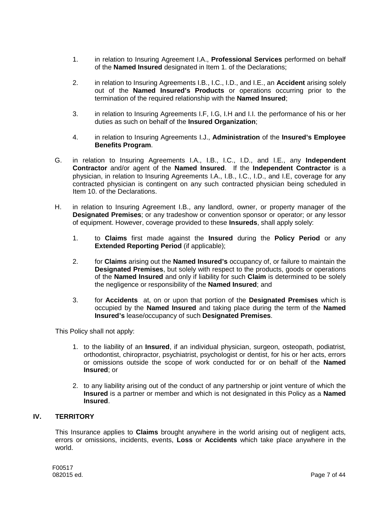- 1. in relation to Insuring Agreement I.A., **Professional Services** performed on behalf of the **Named Insured** designated in Item 1. of the Declarations;
- 2. in relation to Insuring Agreements I.B., I.C., I.D., and I.E., an **Accident** arising solely out of the **Named Insured's Products** or operations occurring prior to the termination of the required relationship with the **Named Insured**;
- 3. in relation to Insuring Agreements I.F, I.G, I.H and I.I. the performance of his or her duties as such on behalf of the **Insured Organization**;
- 4. in relation to Insuring Agreements I.J., **Administration** of the **Insured's Employee Benefits Program**.
- G. in relation to Insuring Agreements I.A., I.B., I.C., I.D., and I.E., any **Independent Contractor** and/or agent of the **Named Insured**. If the **Independent Contractor** is a physician, in relation to Insuring Agreements I.A., I.B., I.C., I.D., and I.E, coverage for any contracted physician is contingent on any such contracted physician being scheduled in Item 10. of the Declarations.
- H. in relation to Insuring Agreement I.B., any landlord, owner, or property manager of the **Designated Premises**; or any tradeshow or convention sponsor or operator; or any lessor of equipment. However, coverage provided to these **Insureds**, shall apply solely:
	- 1. to **Claims** first made against the **Insured** during the **Policy Period** or any **Extended Reporting Period** (if applicable):
	- 2. for **Claims** arising out the **Named Insured's** occupancy of, or failure to maintain the **Designated Premises**, but solely with respect to the products, goods or operations of the **Named Insured** and only if liability for such **Claim** is determined to be solely the negligence or responsibility of the **Named Insured**; and
	- 3. for **Accidents** at, on or upon that portion of the **Designated Premises** which is occupied by the **Named Insured** and taking place during the term of the **Named Insured's** lease/occupancy of such **Designated Premises**.

This Policy shall not apply:

- 1. to the liability of an **Insured**, if an individual physician, surgeon, osteopath, podiatrist, orthodontist, chiropractor, psychiatrist, psychologist or dentist, for his or her acts, errors or omissions outside the scope of work conducted for or on behalf of the **Named Insured**; or
- 2. to any liability arising out of the conduct of any partnership or joint venture of which the **Insured** is a partner or member and which is not designated in this Policy as a **Named Insured**.

# **IV. TERRITORY**

This Insurance applies to **Claims** brought anywhere in the world arising out of negligent acts, errors or omissions, incidents, events, **Loss** or **Accidents** which take place anywhere in the world.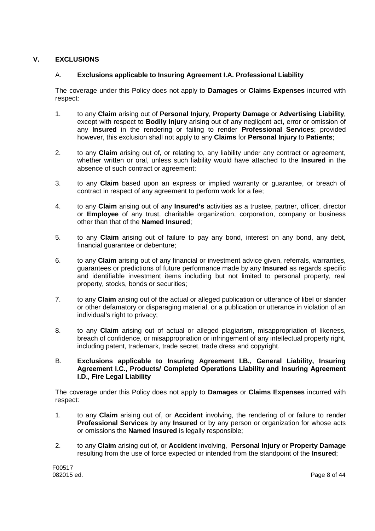# **V. EXCLUSIONS**

# A. **Exclusions applicable to Insuring Agreement I.A. Professional Liability**

The coverage under this Policy does not apply to **Damages** or **Claims Expenses** incurred with respect:

- 1. to any **Claim** arising out of **Personal Injury**, **Property Damage** or **Advertising Liability**, except with respect to **Bodily Injury** arising out of any negligent act, error or omission of any **Insured** in the rendering or failing to render **Professional Services**; provided however, this exclusion shall not apply to any **Claims** for **Personal Injury** to **Patients**;
- 2. to any **Claim** arising out of, or relating to, any liability under any contract or agreement, whether written or oral, unless such liability would have attached to the **Insured** in the absence of such contract or agreement;
- 3. to any **Claim** based upon an express or implied warranty or guarantee, or breach of contract in respect of any agreement to perform work for a fee;
- 4. to any **Claim** arising out of any **Insured's** activities as a trustee, partner, officer, director or **Employee** of any trust, charitable organization, corporation, company or business other than that of the **Named Insured**;
- 5. to any **Claim** arising out of failure to pay any bond, interest on any bond, any debt, financial guarantee or debenture;
- 6. to any **Claim** arising out of any financial or investment advice given, referrals, warranties, guarantees or predictions of future performance made by any **Insured** as regards specific and identifiable investment items including but not limited to personal property, real property, stocks, bonds or securities;
- 7. to any **Claim** arising out of the actual or alleged publication or utterance of libel or slander or other defamatory or disparaging material, or a publication or utterance in violation of an individual's right to privacy;
- 8. to any **Claim** arising out of actual or alleged plagiarism, misappropriation of likeness, breach of confidence, or misappropriation or infringement of any intellectual property right, including patent, trademark, trade secret, trade dress and copyright.
- B. **Exclusions applicable to Insuring Agreement I.B., General Liability, Insuring Agreement I.C., Products/ Completed Operations Liability and Insuring Agreement I.D., Fire Legal Liability**

The coverage under this Policy does not apply to **Damages** or **Claims Expenses** incurred with respect:

- 1. to any **Claim** arising out of, or **Accident** involving, the rendering of or failure to render **Professional Services** by any **Insured** or by any person or organization for whose acts or omissions the **Named Insured** is legally responsible;
- 2. to any **Claim** arising out of, or **Accident** involving, **Personal Injury** or **Property Damage** resulting from the use of force expected or intended from the standpoint of the **Insured**;

F00517<br>082015 ed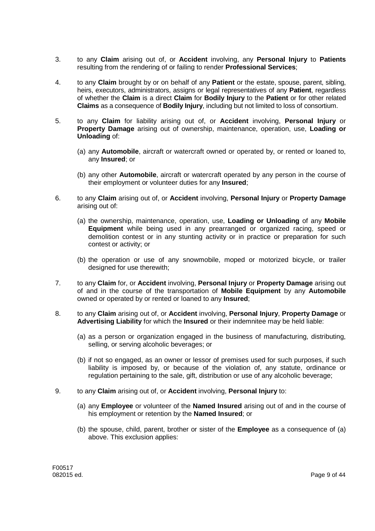- 3. to any **Claim** arising out of, or **Accident** involving, any **Personal Injury** to **Patients** resulting from the rendering of or failing to render **Professional Services**;
- 4. to any **Claim** brought by or on behalf of any **Patient** or the estate, spouse, parent, sibling, heirs, executors, administrators, assigns or legal representatives of any **Patient**, regardless of whether the **Claim** is a direct **Claim** for **Bodily Injury** to the **Patient** or for other related **Claims** as a consequence of **Bodily Injury**, including but not limited to loss of consortium.
- 5. to any **Claim** for liability arising out of, or **Accident** involving, **Personal Injury** or **Property Damage** arising out of ownership, maintenance, operation, use, **Loading or Unloading** of:
	- (a) any **Automobile**, aircraft or watercraft owned or operated by, or rented or loaned to, any **Insured**; or
	- (b) any other **Automobile**, aircraft or watercraft operated by any person in the course of their employment or volunteer duties for any **Insured**;
- 6. to any **Claim** arising out of, or **Accident** involving, **Personal Injury** or **Property Damage** arising out of:
	- (a) the ownership, maintenance, operation, use, **Loading or Unloading** of any **Mobile Equipment** while being used in any prearranged or organized racing, speed or demolition contest or in any stunting activity or in practice or preparation for such contest or activity; or
	- (b) the operation or use of any snowmobile, moped or motorized bicycle, or trailer designed for use therewith;
- 7. to any **Claim** for, or **Accident** involving, **Personal Injury** or **Property Damage** arising out of and in the course of the transportation of **Mobile Equipment** by any **Automobile** owned or operated by or rented or loaned to any **Insured**;
- 8. to any **Claim** arising out of, or **Accident** involving, **Personal Injury**, **Property Damage** or **Advertising Liability** for which the **Insured** or their indemnitee may be held liable:
	- (a) as a person or organization engaged in the business of manufacturing, distributing, selling, or serving alcoholic beverages; or
	- (b) if not so engaged, as an owner or lessor of premises used for such purposes, if such liability is imposed by, or because of the violation of, any statute, ordinance or regulation pertaining to the sale, gift, distribution or use of any alcoholic beverage;
- 9. to any **Claim** arising out of, or **Accident** involving, **Personal Injury** to:
	- (a) any **Employee** or volunteer of the **Named Insured** arising out of and in the course of his employment or retention by the **Named Insured**; or
	- (b) the spouse, child, parent, brother or sister of the **Employee** as a consequence of (a) above. This exclusion applies: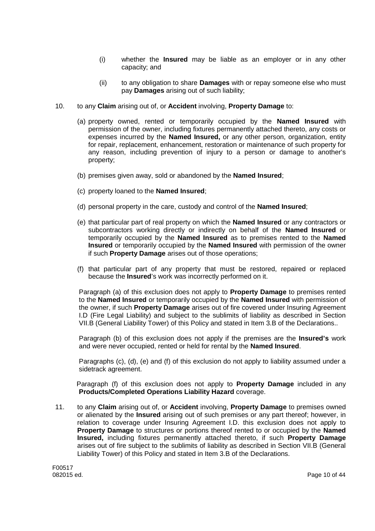- (i) whether the **Insured** may be liable as an employer or in any other capacity; and
- (ii) to any obligation to share **Damages** with or repay someone else who must pay **Damages** arising out of such liability;
- 10. to any **Claim** arising out of, or **Accident** involving, **Property Damage** to:
	- (a) property owned, rented or temporarily occupied by the **Named Insured** with permission of the owner, including fixtures permanently attached thereto, any costs or expenses incurred by the **Named Insured,** or any other person, organization, entity for repair, replacement, enhancement, restoration or maintenance of such property for any reason, including prevention of injury to a person or damage to another's property;
	- (b) premises given away, sold or abandoned by the **Named Insured**;
	- (c) property loaned to the **Named Insured**;
	- (d) personal property in the care, custody and control of the **Named Insured**;
	- (e) that particular part of real property on which the **Named Insured** or any contractors or subcontractors working directly or indirectly on behalf of the **Named Insured** or temporarily occupied by the **Named Insured** as to premises rented to the **Named Insured** or temporarily occupied by the **Named Insured** with permission of the owner if such **Property Damage** arises out of those operations;
	- (f) that particular part of any property that must be restored, repaired or replaced because the **Insured**'s work was incorrectly performed on it.

Paragraph (a) of this exclusion does not apply to **Property Damage** to premises rented to the **Named Insured** or temporarily occupied by the **Named Insured** with permission of the owner, if such **Property Damage** arises out of fire covered under Insuring Agreement I.D (Fire Legal Liability) and subject to the sublimits of liability as described in Section VII.B (General Liability Tower) of this Policy and stated in Item 3.B of the Declarations..

Paragraph (b) of this exclusion does not apply if the premises are the **Insured's** work and were never occupied, rented or held for rental by the **Named Insured**.

Paragraphs (c), (d), (e) and (f) of this exclusion do not apply to liability assumed under a sidetrack agreement.

Paragraph (f) of this exclusion does not apply to **Property Damage** included in any **Products/Completed Operations Liability Hazard** coverage.

11. to any **Claim** arising out of, or **Accident** involving, **Property Damage** to premises owned or alienated by the **Insured** arising out of such premises or any part thereof; however, in relation to coverage under Insuring Agreement I.D. this exclusion does not apply to **Property Damage** to structures or portions thereof rented to or occupied by the **Named Insured,** including fixtures permanently attached thereto, if such **Property Damage** arises out of fire subject to the sublimits of liability as described in Section VII.B (General Liability Tower) of this Policy and stated in Item 3.B of the Declarations.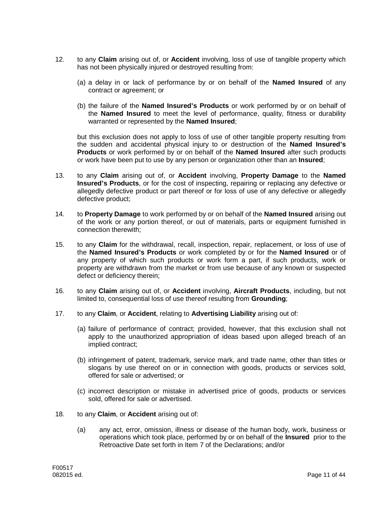- 12. to any **Claim** arising out of, or **Accident** involving, loss of use of tangible property which has not been physically injured or destroyed resulting from:
	- (a) a delay in or lack of performance by or on behalf of the **Named Insured** of any contract or agreement; or
	- (b) the failure of the **Named Insured's Products** or work performed by or on behalf of the **Named Insured** to meet the level of performance, quality, fitness or durability warranted or represented by the **Named Insured**;

but this exclusion does not apply to loss of use of other tangible property resulting from the sudden and accidental physical injury to or destruction of the **Named Insured's Products** or work performed by or on behalf of the **Named Insured** after such products or work have been put to use by any person or organization other than an **Insured**;

- 13. to any **Claim** arising out of, or **Accident** involving, **Property Damage** to the **Named Insured's Products**, or for the cost of inspecting, repairing or replacing any defective or allegedly defective product or part thereof or for loss of use of any defective or allegedly defective product;
- 14. to **Property Damage** to work performed by or on behalf of the **Named Insured** arising out of the work or any portion thereof, or out of materials, parts or equipment furnished in connection therewith;
- 15. to any **Claim** for the withdrawal, recall, inspection, repair, replacement, or loss of use of the **Named Insured's Products** or work completed by or for the **Named Insured** or of any property of which such products or work form a part, if such products, work or property are withdrawn from the market or from use because of any known or suspected defect or deficiency therein;
- 16. to any **Claim** arising out of, or **Accident** involving, **Aircraft Products**, including, but not limited to, consequential loss of use thereof resulting from **Grounding**;
- 17. to any **Claim**, or **Accident**, relating to **Advertising Liability** arising out of:
	- (a) failure of performance of contract; provided, however, that this exclusion shall not apply to the unauthorized appropriation of ideas based upon alleged breach of an implied contract;
	- (b) infringement of patent, trademark, service mark, and trade name, other than titles or slogans by use thereof on or in connection with goods, products or services sold, offered for sale or advertised; or
	- (c) incorrect description or mistake in advertised price of goods, products or services sold, offered for sale or advertised.
- 18. to any **Claim**, or **Accident** arising out of:
	- (a) any act, error, omission, illness or disease of the human body, work, business or operations which took place, performed by or on behalf of the **Insured** prior to the Retroactive Date set forth in Item 7 of the Declarations; and/or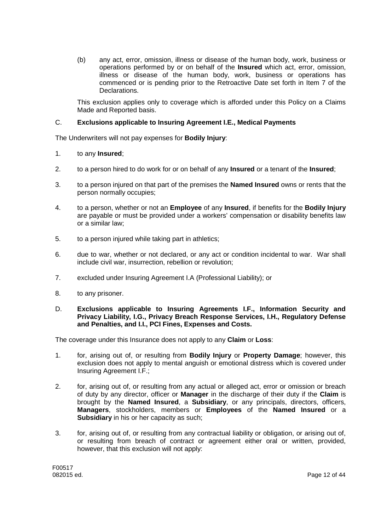(b) any act, error, omission, illness or disease of the human body, work, business or operations performed by or on behalf of the **Insured** which act, error, omission, illness or disease of the human body, work, business or operations has commenced or is pending prior to the Retroactive Date set forth in Item 7 of the Declarations.

This exclusion applies only to coverage which is afforded under this Policy on a Claims Made and Reported basis.

## C. **Exclusions applicable to Insuring Agreement I.E., Medical Payments**

The Underwriters will not pay expenses for **Bodily Injury**:

- 1. to any **Insured**;
- 2. to a person hired to do work for or on behalf of any **Insured** or a tenant of the **Insured**;
- 3. to a person injured on that part of the premises the **Named Insured** owns or rents that the person normally occupies;
- 4. to a person, whether or not an **Employee** of any **Insured**, if benefits for the **Bodily Injury** are payable or must be provided under a workers' compensation or disability benefits law or a similar law;
- 5. to a person injured while taking part in athletics;
- 6. due to war, whether or not declared, or any act or condition incidental to war. War shall include civil war, insurrection, rebellion or revolution;
- 7. excluded under Insuring Agreement I.A (Professional Liability); or
- 8. to any prisoner.
- D. **Exclusions applicable to Insuring Agreements I.F., Information Security and Privacy Liability, I.G., Privacy Breach Response Services, I.H., Regulatory Defense and Penalties, and I.I., PCI Fines, Expenses and Costs.**

The coverage under this Insurance does not apply to any **Claim** or **Loss**:

- 1. for, arising out of, or resulting from **Bodily Injury** or **Property Damage**; however, this exclusion does not apply to mental anguish or emotional distress which is covered under Insuring Agreement I.F.;
- 2. for, arising out of, or resulting from any actual or alleged act, error or omission or breach of duty by any director, officer or **Manager** in the discharge of their duty if the **Claim** is brought by the **Named Insured**, a **Subsidiary**, or any principals, directors, officers, **Managers**, stockholders, members or **Employees** of the **Named Insured** or a **Subsidiary** in his or her capacity as such;
- 3. for, arising out of, or resulting from any contractual liability or obligation, or arising out of, or resulting from breach of contract or agreement either oral or written, provided, however, that this exclusion will not apply: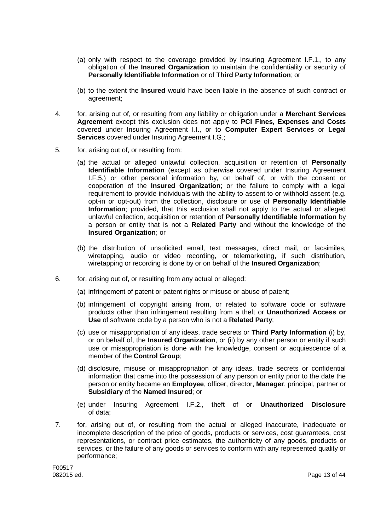- (a) only with respect to the coverage provided by Insuring Agreement I.F.1., to any obligation of the **Insured Organization** to maintain the confidentiality or security of **Personally Identifiable Information** or of **Third Party Information**; or
- (b) to the extent the **Insured** would have been liable in the absence of such contract or agreement;
- 4. for, arising out of, or resulting from any liability or obligation under a **Merchant Services Agreement** except this exclusion does not apply to **PCI Fines, Expenses and Costs** covered under Insuring Agreement I.I., or to **Computer Expert Services** or **Legal Services** covered under Insuring Agreement I.G.;
- 5. for, arising out of, or resulting from:
	- (a) the actual or alleged unlawful collection, acquisition or retention of **Personally Identifiable Information** (except as otherwise covered under Insuring Agreement I.F.5.) or other personal information by, on behalf of, or with the consent or cooperation of the **Insured Organization**; or the failure to comply with a legal requirement to provide individuals with the ability to assent to or withhold assent (e.g. opt-in or opt-out) from the collection, disclosure or use of **Personally Identifiable Information**; provided, that this exclusion shall not apply to the actual or alleged unlawful collection, acquisition or retention of **Personally Identifiable Information** by a person or entity that is not a **Related Party** and without the knowledge of the **Insured Organization**; or
	- (b) the distribution of unsolicited email, text messages, direct mail, or facsimiles, wiretapping, audio or video recording, or telemarketing, if such distribution, wiretapping or recording is done by or on behalf of the **Insured Organization**;
- 6. for, arising out of, or resulting from any actual or alleged:
	- (a) infringement of patent or patent rights or misuse or abuse of patent;
	- (b) infringement of copyright arising from, or related to software code or software products other than infringement resulting from a theft or **Unauthorized Access or Use** of software code by a person who is not a **Related Party**;
	- (c) use or misappropriation of any ideas, trade secrets or **Third Party Information** (i) by, or on behalf of, the **Insured Organization**, or (ii) by any other person or entity if such use or misappropriation is done with the knowledge, consent or acquiescence of a member of the **Control Group**;
	- (d) disclosure, misuse or misappropriation of any ideas, trade secrets or confidential information that came into the possession of any person or entity prior to the date the person or entity became an **Employee**, officer, director, **Manager**, principal, partner or **Subsidiary** of the **Named Insured**; or
	- (e) under Insuring Agreement I.F.2., theft of or **Unauthorized Disclosure** of data;
- 7. for, arising out of, or resulting from the actual or alleged inaccurate, inadequate or incomplete description of the price of goods, products or services, cost guarantees, cost representations, or contract price estimates, the authenticity of any goods, products or services, or the failure of any goods or services to conform with any represented quality or performance;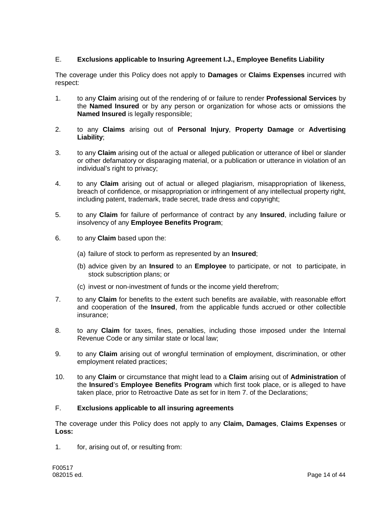# E. **Exclusions applicable to Insuring Agreement I.J., Employee Benefits Liability**

The coverage under this Policy does not apply to **Damages** or **Claims Expenses** incurred with respect:

- 1. to any **Claim** arising out of the rendering of or failure to render **Professional Services** by the **Named Insured** or by any person or organization for whose acts or omissions the **Named Insured** is legally responsible;
- 2. to any **Claims** arising out of **Personal Injury**, **Property Damage** or **Advertising Liability**;
- 3. to any **Claim** arising out of the actual or alleged publication or utterance of libel or slander or other defamatory or disparaging material, or a publication or utterance in violation of an individual's right to privacy;
- 4. to any **Claim** arising out of actual or alleged plagiarism, misappropriation of likeness, breach of confidence, or misappropriation or infringement of any intellectual property right, including patent, trademark, trade secret, trade dress and copyright;
- 5. to any **Claim** for failure of performance of contract by any **Insured**, including failure or insolvency of any **Employee Benefits Program**;
- 6. to any **Claim** based upon the:
	- (a) failure of stock to perform as represented by an **Insured**;
	- (b) advice given by an **Insured** to an **Employee** to participate, or not to participate, in stock subscription plans; or
	- (c) invest or non-investment of funds or the income yield therefrom;
- 7. to any **Claim** for benefits to the extent such benefits are available, with reasonable effort and cooperation of the **Insured**, from the applicable funds accrued or other collectible insurance;
- 8. to any **Claim** for taxes, fines, penalties, including those imposed under the Internal Revenue Code or any similar state or local law;
- 9. to any **Claim** arising out of wrongful termination of employment, discrimination, or other employment related practices;
- 10. to any **Claim** or circumstance that might lead to a **Claim** arising out of **Administration** of the **Insured**'s **Employee Benefits Program** which first took place, or is alleged to have taken place, prior to Retroactive Date as set for in Item 7. of the Declarations;

# F. **Exclusions applicable to all insuring agreements**

The coverage under this Policy does not apply to any **Claim, Damages**, **Claims Expenses** or **Loss:**

1. for, arising out of, or resulting from: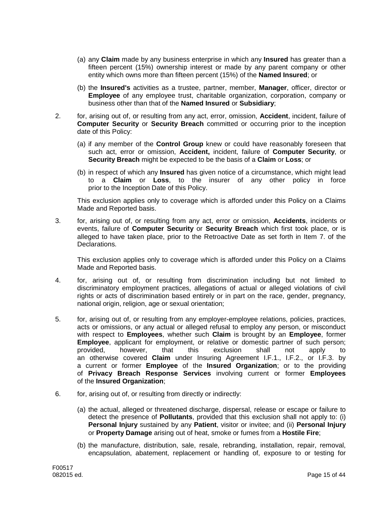- (a) any **Claim** made by any business enterprise in which any **Insured** has greater than a fifteen percent (15%) ownership interest or made by any parent company or other entity which owns more than fifteen percent (15%) of the **Named Insured**; or
- (b) the **Insured's** activities as a trustee, partner, member, **Manager**, officer, director or **Employee** of any employee trust, charitable organization, corporation, company or business other than that of the **Named Insured** or **Subsidiary**;
- 2. for, arising out of, or resulting from any act, error, omission, **Accident**, incident, failure of **Computer Security** or **Security Breach** committed or occurring prior to the inception date of this Policy:
	- (a) if any member of the **Control Group** knew or could have reasonably foreseen that such act, error or omission, **Accident,** incident, failure of **Computer Security**, or **Security Breach** might be expected to be the basis of a **Claim** or **Loss**; or
	- (b) in respect of which any **Insured** has given notice of a circumstance, which might lead to a **Claim** or **Loss**, to the insurer of any other policy in force prior to the Inception Date of this Policy.

This exclusion applies only to coverage which is afforded under this Policy on a Claims Made and Reported basis.

3. for, arising out of, or resulting from any act, error or omission, **Accidents**, incidents or events, failure of **Computer Security** or **Security Breach** which first took place, or is alleged to have taken place, prior to the Retroactive Date as set forth in Item 7. of the Declarations.

This exclusion applies only to coverage which is afforded under this Policy on a Claims Made and Reported basis.

- 4. for, arising out of, or resulting from discrimination including but not limited to discriminatory employment practices, allegations of actual or alleged violations of civil rights or acts of discrimination based entirely or in part on the race, gender, pregnancy, national origin, religion, age or sexual orientation;
- 5. for, arising out of, or resulting from any employer-employee relations, policies, practices, acts or omissions, or any actual or alleged refusal to employ any person, or misconduct with respect to **Employees**, whether such **Claim** is brought by an **Employee**, former **Employee**, applicant for employment, or relative or domestic partner of such person; provided, however, that this exclusion shall not apply to an otherwise covered **Claim** under Insuring Agreement I.F.1., I.F.2., or I.F.3. by a current or former **Employee** of the **Insured Organization**; or to the providing of **Privacy Breach Response Services** involving current or former **Employees** of the **Insured Organization**;
- 6. for, arising out of, or resulting from directly or indirectly:
	- (a) the actual, alleged or threatened discharge, dispersal, release or escape or failure to detect the presence of **Pollutants**, provided that this exclusion shall not apply to: (i) **Personal Injury** sustained by any **Patient**, visitor or invitee; and (ii) **Personal Injury** or **Property Damage** arising out of heat, smoke or fumes from a **Hostile Fire**;
	- (b) the manufacture, distribution, sale, resale, rebranding, installation, repair, removal, encapsulation, abatement, replacement or handling of, exposure to or testing for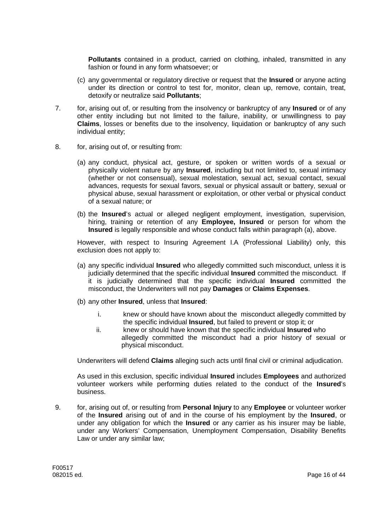**Pollutants** contained in a product, carried on clothing, inhaled, transmitted in any fashion or found in any form whatsoever; or

- (c) any governmental or regulatory directive or request that the **Insured** or anyone acting under its direction or control to test for, monitor, clean up, remove, contain, treat, detoxify or neutralize said **Pollutants**;
- 7. for, arising out of, or resulting from the insolvency or bankruptcy of any **Insured** or of any other entity including but not limited to the failure, inability, or unwillingness to pay **Claims**, losses or benefits due to the insolvency, liquidation or bankruptcy of any such individual entity;
- 8. for, arising out of, or resulting from:
	- (a) any conduct, physical act, gesture, or spoken or written words of a sexual or physically violent nature by any **Insured**, including but not limited to, sexual intimacy (whether or not consensual), sexual molestation, sexual act, sexual contact, sexual advances, requests for sexual favors, sexual or physical assault or battery, sexual or physical abuse, sexual harassment or exploitation, or other verbal or physical conduct of a sexual nature; or
	- (b) the **Insured**'s actual or alleged negligent employment, investigation, supervision, hiring, training or retention of any **Employee, Insured** or person for whom the **Insured** is legally responsible and whose conduct falls within paragraph (a), above.

However, with respect to Insuring Agreement I.A (Professional Liability) only, this exclusion does not apply to:

- (a) any specific individual **Insured** who allegedly committed such misconduct, unless it is judicially determined that the specific individual **Insured** committed the misconduct. If it is judicially determined that the specific individual **Insured** committed the misconduct, the Underwriters will not pay **Damages** or **Claims Expenses**.
- (b) any other **Insured**, unless that **Insured**:
	- i. knew or should have known about the misconduct allegedly committed by the specific individual **Insured**, but failed to prevent or stop it; or
	- ii. knew or should have known that the specific individual **Insured** who allegedly committed the misconduct had a prior history of sexual or physical misconduct.

Underwriters will defend **Claims** alleging such acts until final civil or criminal adjudication.

As used in this exclusion, specific individual **Insured** includes **Employees** and authorized volunteer workers while performing duties related to the conduct of the **Insured**'s business.

9. for, arising out of, or resulting from **Personal Injury** to any **Employee** or volunteer worker of the **Insured** arising out of and in the course of his employment by the **Insured**, or under any obligation for which the **Insured** or any carrier as his insurer may be liable, under any Workers' Compensation, Unemployment Compensation, Disability Benefits Law or under any similar law;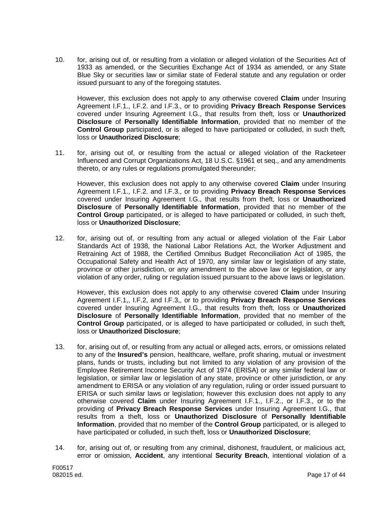10. for, arising out of, or resulting from a violation or alleged violation of the Securities Act of 1933 as amended, or the Securities Exchange Act of 1934 as amended, or any State Blue Sky or securities law or similar state of Federal statute and any regulation or order issued pursuant to any of the foregoing statutes.

However, this exclusion does not apply to any otherwise covered **Claim** under Insuring Agreement I.F.1., I.F.2. and I.F.3., or to providing **Privacy Breach Response Services** covered under Insuring Agreement I.G., that results from theft, loss or **Unauthorized Disclosure** of **Personally Identifiable Information**, provided that no member of the **Control Group** participated, or is alleged to have participated or colluded, in such theft, loss or **Unauthorized Disclosure**;

11. for, arising out of, or resulting from the actual or alleged violation of the Racketeer Influenced and Corrupt Organizations Act, 18 U.S.C. §1961 et seq., and any amendments thereto, or any rules or regulations promulgated thereunder;

However, this exclusion does not apply to any otherwise covered **Claim** under Insuring Agreement I.F.1., I.F.2. and I.F.3., or to providing **Privacy Breach Response Services** covered under Insuring Agreement I.G., that results from theft, loss or **Unauthorized Disclosure** of **Personally Identifiable Information**, provided that no member of the **Control Group** participated, or is alleged to have participated or colluded, in such theft, loss or **Unauthorized Disclosure**;

12. for, arising out of, or resulting from any actual or alleged violation of the Fair Labor Standards Act of 1938, the National Labor Relations Act, the Worker Adjustment and Retraining Act of 1988, the Certified Omnibus Budget Reconciliation Act of 1985, the Occupational Safety and Health Act of 1970, any similar law or legislation of any state, province or other jurisdiction, or any amendment to the above law or legislation, or any violation of any order, ruling or regulation issued pursuant to the above laws or legislation.

However, this exclusion does not apply to any otherwise covered **Claim** under Insuring Agreement I.F.1,, I.F.2, and I.F.3,, or to providing **Privacy Breach Response Services** covered under Insuring Agreement I.G., that results from theft, loss or **Unauthorized Disclosure** of **Personally Identifiable Information**, provided that no member of the **Control Group** participated, or is alleged to have participated or colluded, in such theft, loss or **Unauthorized Disclosure**;

- 13. for, arising out of, or resulting from any actual or alleged acts, errors, or omissions related to any of the **Insured's** pension, healthcare, welfare, profit sharing, mutual or investment plans, funds or trusts, including but not limited to any violation of any provision of the Employee Retirement Income Security Act of 1974 (ERISA) or any similar federal law or legislation, or similar law or legislation of any state, province or other jurisdiction, or any amendment to ERISA or any violation of any regulation, ruling or order issued pursuant to ERISA or such similar laws or legislation; however this exclusion does not apply to any otherwise covered **Claim** under Insuring Agreement I.F.1., I.F.2., or I.F.3., or to the providing of **Privacy Breach Response Services** under Insuring Agreement I.G., that results from a theft, loss or **Unauthorized Disclosure** of **Personally Identifiable Information**, provided that no member of the **Control Group** participated, or is alleged to have participated or colluded, in such theft, loss or **Unauthorized Disclosure**;
- 14. for, arising out of, or resulting from any criminal, dishonest, fraudulent, or malicious act, error or omission, **Accident**, any intentional **Security Breach**, intentional violation of a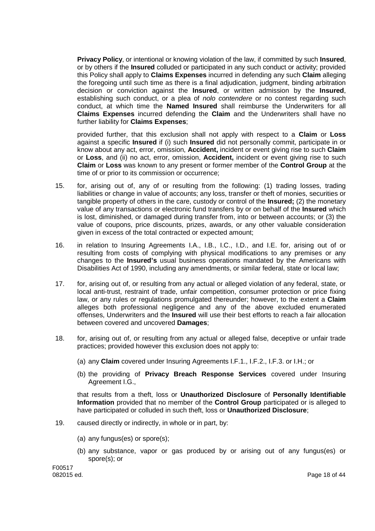**Privacy Policy**, or intentional or knowing violation of the law, if committed by such **Insured**, or by others if the **Insured** colluded or participated in any such conduct or activity; provided this Policy shall apply to **Claims Expenses** incurred in defending any such **Claim** alleging the foregoing until such time as there is a final adjudication, judgment, binding arbitration decision or conviction against the **Insured**, or written admission by the **Insured**, establishing such conduct, or a plea of *nolo contendere* or no contest regarding such conduct, at which time the **Named Insured** shall reimburse the Underwriters for all **Claims Expenses** incurred defending the **Claim** and the Underwriters shall have no further liability for **Claims Expenses**;

provided further, that this exclusion shall not apply with respect to a **Claim** or **Loss** against a specific **Insured** if (i) such **Insured** did not personally commit, participate in or know about any act, error, omission, **Accident,** incident or event giving rise to such **Claim** or **Loss**, and (ii) no act, error, omission, **Accident,** incident or event giving rise to such **Claim** or **Loss** was known to any present or former member of the **Control Group** at the time of or prior to its commission or occurrence;

- 15. for, arising out of, any of or resulting from the following: (1) trading losses, trading liabilities or change in value of accounts; any loss, transfer or theft of monies, securities or tangible property of others in the care, custody or control of the **Insured;** (2) the monetary value of any transactions or electronic fund transfers by or on behalf of the **Insured** which is lost, diminished, or damaged during transfer from, into or between accounts; or (3) the value of coupons, price discounts, prizes, awards, or any other valuable consideration given in excess of the total contracted or expected amount;
- 16. in relation to Insuring Agreements I.A., I.B., I.C., I.D., and I.E. for, arising out of or resulting from costs of complying with physical modifications to any premises or any changes to the **Insured's** usual business operations mandated by the Americans with Disabilities Act of 1990, including any amendments, or similar federal, state or local law;
- 17. for, arising out of, or resulting from any actual or alleged violation of any federal, state, or local anti-trust, restraint of trade, unfair competition, consumer protection or price fixing law, or any rules or regulations promulgated thereunder; however, to the extent a **Claim** alleges both professional negligence and any of the above excluded enumerated offenses, Underwriters and the **Insured** will use their best efforts to reach a fair allocation between covered and uncovered **Damages**;
- 18. for, arising out of, or resulting from any actual or alleged false, deceptive or unfair trade practices; provided however this exclusion does not apply to:
	- (a) any **Claim** covered under Insuring Agreements I.F.1., I.F.2., I.F.3. or I.H.; or
	- (b) the providing of **Privacy Breach Response Services** covered under Insuring Agreement I.G.,

that results from a theft, loss or **Unauthorized Disclosure** of **Personally Identifiable Information** provided that no member of the **Control Group** participated or is alleged to have participated or colluded in such theft, loss or **Unauthorized Disclosure**;

- 19. caused directly or indirectly, in whole or in part, by:
	- (a) any fungus(es) or spore(s);
	- (b) any substance, vapor or gas produced by or arising out of any fungus(es) or spore(s); or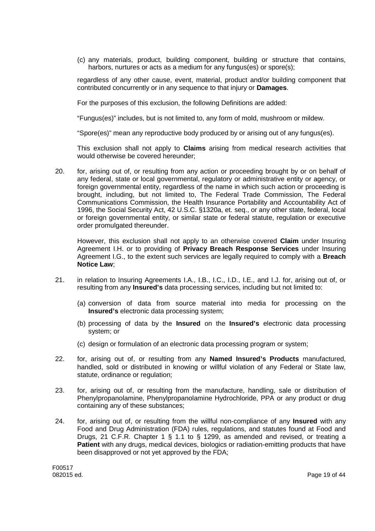(c) any materials, product, building component, building or structure that contains, harbors, nurtures or acts as a medium for any fungus(es) or spore(s);

regardless of any other cause, event, material, product and/or building component that contributed concurrently or in any sequence to that injury or **Damages**.

For the purposes of this exclusion, the following Definitions are added:

"Fungus(es)" includes, but is not limited to, any form of mold, mushroom or mildew.

"Spore(es)" mean any reproductive body produced by or arising out of any fungus(es).

This exclusion shall not apply to **Claims** arising from medical research activities that would otherwise be covered hereunder;

20. for, arising out of, or resulting from any action or proceeding brought by or on behalf of any federal, state or local governmental, regulatory or administrative entity or agency, or foreign governmental entity, regardless of the name in which such action or proceeding is brought, including, but not limited to, The Federal Trade Commission, The Federal Communications Commission, the Health Insurance Portability and Accountability Act of 1996, the Social Security Act, 42 U.S.C. §1320a, et. seq., or any other state, federal, local or foreign governmental entity, or similar state or federal statute, regulation or executive order promulgated thereunder.

However, this exclusion shall not apply to an otherwise covered **Claim** under Insuring Agreement I.H. or to providing of **Privacy Breach Response Services** under Insuring Agreement I.G., to the extent such services are legally required to comply with a **Breach Notice Law**;

- 21. in relation to Insuring Agreements I.A., I.B., I.C., I.D., I.E., and I.J. for, arising out of, or resulting from any **Insured's** data processing services, including but not limited to:
	- (a) conversion of data from source material into media for processing on the **Insured's** electronic data processing system;
	- (b) processing of data by the **Insured** on the **Insured's** electronic data processing system; or
	- (c) design or formulation of an electronic data processing program or system;
- 22. for, arising out of, or resulting from any **Named Insured's Products** manufactured, handled, sold or distributed in knowing or willful violation of any Federal or State law, statute, ordinance or regulation;
- 23. for, arising out of, or resulting from the manufacture, handling, sale or distribution of Phenylpropanolamine, Phenylpropanolamine Hydrochloride, PPA or any product or drug containing any of these substances;
- 24. for, arising out of, or resulting from the willful non-compliance of any **Insured** with any Food and Drug Administration (FDA) rules, regulations, and statutes found at Food and Drugs, 21 C.F.R. Chapter 1 § 1.1 to § 1299, as amended and revised, or treating a **Patient** with any drugs, medical devices, biologics or radiation-emitting products that have been disapproved or not yet approved by the FDA;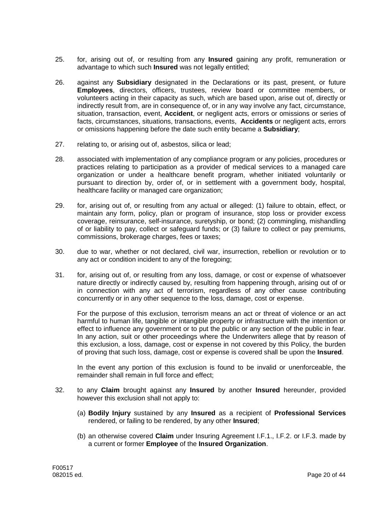- 25. for, arising out of, or resulting from any **Insured** gaining any profit, remuneration or advantage to which such **Insured** was not legally entitled;
- 26. against any **Subsidiary** designated in the Declarations or its past, present, or future **Employees**, directors, officers, trustees, review board or committee members, or volunteers acting in their capacity as such, which are based upon, arise out of, directly or indirectly result from, are in consequence of, or in any way involve any fact, circumstance, situation, transaction, event, **Accident**, or negligent acts, errors or omissions or series of facts, circumstances, situations, transactions, events, **Accidents** or negligent acts, errors or omissions happening before the date such entity became a **Subsidiary**;
- 27. relating to, or arising out of, asbestos, silica or lead;
- 28. associated with implementation of any compliance program or any policies, procedures or practices relating to participation as a provider of medical services to a managed care organization or under a healthcare benefit program, whether initiated voluntarily or pursuant to direction by, order of, or in settlement with a government body, hospital, healthcare facility or managed care organization;
- 29. for, arising out of, or resulting from any actual or alleged: (1) failure to obtain, effect, or maintain any form, policy, plan or program of insurance, stop loss or provider excess coverage, reinsurance, self-insurance, suretyship, or bond; (2) commingling, mishandling of or liability to pay, collect or safeguard funds; or (3) failure to collect or pay premiums, commissions, brokerage charges, fees or taxes;
- 30. due to war, whether or not declared, civil war, insurrection, rebellion or revolution or to any act or condition incident to any of the foregoing;
- 31. for, arising out of, or resulting from any loss, damage, or cost or expense of whatsoever nature directly or indirectly caused by, resulting from happening through, arising out of or in connection with any act of terrorism, regardless of any other cause contributing concurrently or in any other sequence to the loss, damage, cost or expense.

For the purpose of this exclusion, terrorism means an act or threat of violence or an act harmful to human life, tangible or intangible property or infrastructure with the intention or effect to influence any government or to put the public or any section of the public in fear. In any action, suit or other proceedings where the Underwriters allege that by reason of this exclusion, a loss, damage, cost or expense in not covered by this Policy, the burden of proving that such loss, damage, cost or expense is covered shall be upon the **Insured**.

In the event any portion of this exclusion is found to be invalid or unenforceable, the remainder shall remain in full force and effect;

- 32. to any **Claim** brought against any **Insured** by another **Insured** hereunder, provided however this exclusion shall not apply to:
	- (a) **Bodily Injury** sustained by any **Insured** as a recipient of **Professional Services** rendered, or failing to be rendered, by any other **Insured**;
	- (b) an otherwise covered **Claim** under Insuring Agreement I.F.1., I.F.2. or I.F.3. made by a current or former **Employee** of the **Insured Organization**.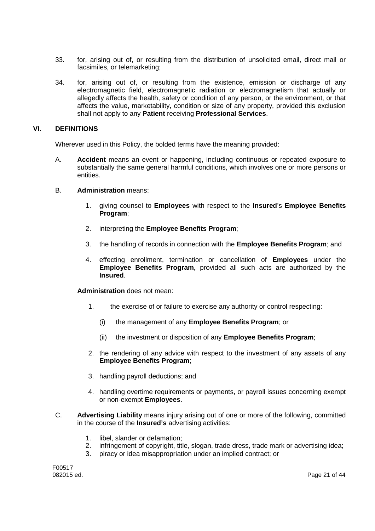- 33. for, arising out of, or resulting from the distribution of unsolicited email, direct mail or facsimiles, or telemarketing;
- 34. for, arising out of, or resulting from the existence, emission or discharge of any electromagnetic field, electromagnetic radiation or electromagnetism that actually or allegedly affects the health, safety or condition of any person, or the environment, or that affects the value, marketability, condition or size of any property, provided this exclusion shall not apply to any **Patient** receiving **Professional Services**.

### **VI. DEFINITIONS**

Wherever used in this Policy, the bolded terms have the meaning provided:

- A. **Accident** means an event or happening, including continuous or repeated exposure to substantially the same general harmful conditions, which involves one or more persons or entities.
- B. **Administration** means:
	- 1. giving counsel to **Employees** with respect to the **Insured**'s **Employee Benefits Program**;
	- 2. interpreting the **Employee Benefits Program**;
	- 3. the handling of records in connection with the **Employee Benefits Program**; and
	- 4. effecting enrollment, termination or cancellation of **Employees** under the **Employee Benefits Program,** provided all such acts are authorized by the **Insured**.

**Administration** does not mean:

- 1. the exercise of or failure to exercise any authority or control respecting:
	- (i) the management of any **Employee Benefits Program**; or
	- (ii) the investment or disposition of any **Employee Benefits Program**;
- 2. the rendering of any advice with respect to the investment of any assets of any **Employee Benefits Program**;
- 3. handling payroll deductions; and
- 4. handling overtime requirements or payments, or payroll issues concerning exempt or non-exempt **Employees**.
- C. **Advertising Liability** means injury arising out of one or more of the following, committed in the course of the **Insured's** advertising activities:
	- 1. libel, slander or defamation;
	- 2. infringement of copyright, title, slogan, trade dress, trade mark or advertising idea;
	- 3. piracy or idea misappropriation under an implied contract; or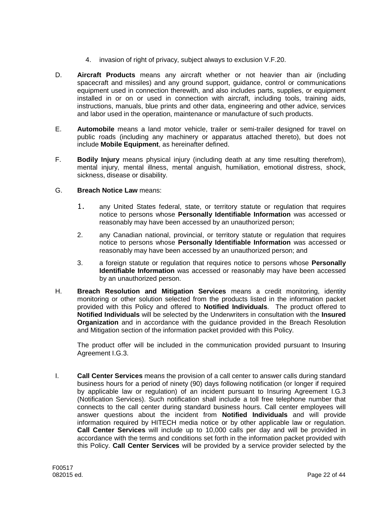- 4. invasion of right of privacy, subject always to exclusion V.F.20.
- D. **Aircraft Products** means any aircraft whether or not heavier than air (including spacecraft and missiles) and any ground support, guidance, control or communications equipment used in connection therewith, and also includes parts, supplies, or equipment installed in or on or used in connection with aircraft, including tools, training aids, instructions, manuals, blue prints and other data, engineering and other advice, services and labor used in the operation, maintenance or manufacture of such products.
- E. **Automobile** means a land motor vehicle, trailer or semi-trailer designed for travel on public roads (including any machinery or apparatus attached thereto), but does not include **Mobile Equipment**, as hereinafter defined.
- F. **Bodily Injury** means physical injury (including death at any time resulting therefrom), mental injury, mental illness, mental anguish, humiliation, emotional distress, shock, sickness, disease or disability.
- G. **Breach Notice Law** means:
	- 1. any United States federal, state, or territory statute or regulation that requires notice to persons whose **Personally Identifiable Information** was accessed or reasonably may have been accessed by an unauthorized person;
	- 2. any Canadian national, provincial, or territory statute or regulation that requires notice to persons whose **Personally Identifiable Information** was accessed or reasonably may have been accessed by an unauthorized person; and
	- 3. a foreign statute or regulation that requires notice to persons whose **Personally Identifiable Information** was accessed or reasonably may have been accessed by an unauthorized person.
- H. **Breach Resolution and Mitigation Services** means a credit monitoring, identity monitoring or other solution selected from the products listed in the information packet provided with this Policy and offered to **Notified Individuals**. The product offered to **Notified Individuals** will be selected by the Underwriters in consultation with the **Insured Organization** and in accordance with the guidance provided in the Breach Resolution and Mitigation section of the information packet provided with this Policy.

The product offer will be included in the communication provided pursuant to Insuring Agreement I.G.3.

I. **Call Center Services** means the provision of a call center to answer calls during standard business hours for a period of ninety (90) days following notification (or longer if required by applicable law or regulation) of an incident pursuant to Insuring Agreement I.G.3 (Notification Services). Such notification shall include a toll free telephone number that connects to the call center during standard business hours. Call center employees will answer questions about the incident from **Notified Individuals** and will provide information required by HITECH media notice or by other applicable law or regulation. **Call Center Services** will include up to 10,000 calls per day and will be provided in accordance with the terms and conditions set forth in the information packet provided with this Policy. **Call Center Services** will be provided by a service provider selected by the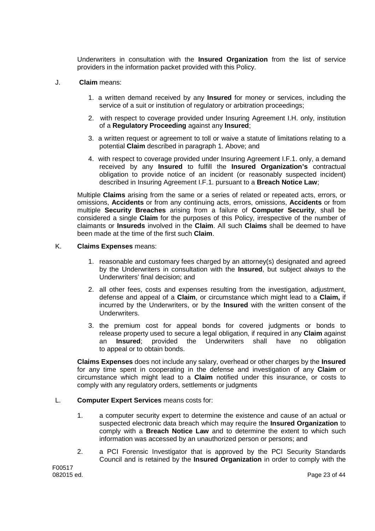Underwriters in consultation with the **Insured Organization** from the list of service providers in the information packet provided with this Policy.

- J. **Claim** means:
	- 1. a written demand received by any **Insured** for money or services, including the service of a suit or institution of regulatory or arbitration proceedings;
	- 2. with respect to coverage provided under Insuring Agreement I.H. only, institution of a **Regulatory Proceeding** against any **Insured**;
	- 3. a written request or agreement to toll or waive a statute of limitations relating to a potential **Claim** described in paragraph 1. Above; and
	- 4. with respect to coverage provided under Insuring Agreement I.F.1. only, a demand received by any **Insured** to fulfill the **Insured Organization's** contractual obligation to provide notice of an incident (or reasonably suspected incident) described in Insuring Agreement I.F.1. pursuant to a **Breach Notice Law**;

Multiple **Claims** arising from the same or a series of related or repeated acts, errors, or omissions, **Accidents** or from any continuing acts, errors, omissions, **Accidents** or from multiple **Security Breaches** arising from a failure of **Computer Security**, shall be considered a single **Claim** for the purposes of this Policy, irrespective of the number of claimants or **Insureds** involved in the **Claim**. All such **Claims** shall be deemed to have been made at the time of the first such **Claim**.

### K. **Claims Expenses** means:

- 1. reasonable and customary fees charged by an attorney(s) designated and agreed by the Underwriters in consultation with the **Insured**, but subject always to the Underwriters' final decision; and
- 2. all other fees, costs and expenses resulting from the investigation, adjustment, defense and appeal of a **Claim**, or circumstance which might lead to a **Claim,** if incurred by the Underwriters, or by the **Insured** with the written consent of the Underwriters.
- 3. the premium cost for appeal bonds for covered judgments or bonds to release property used to secure a legal obligation, if required in any **Claim** against an **Insured**; provided the Underwriters shall have no obligation to appeal or to obtain bonds.

**Claims Expenses** does not include any salary, overhead or other charges by the **Insured** for any time spent in cooperating in the defense and investigation of any **Claim** or circumstance which might lead to a **Claim** notified under this insurance, or costs to comply with any regulatory orders, settlements or judgments

### L. **Computer Expert Services** means costs for:

- 1. a computer security expert to determine the existence and cause of an actual or suspected electronic data breach which may require the **Insured Organization** to comply with a **Breach Notice Law** and to determine the extent to which such information was accessed by an unauthorized person or persons; and
- 2. a PCI Forensic Investigator that is approved by the PCI Security Standards Council and is retained by the **Insured Organization** in order to comply with the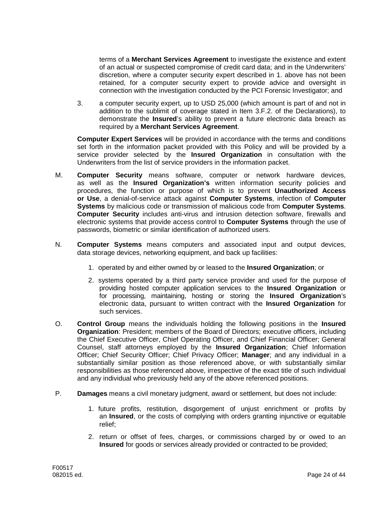terms of a **Merchant Services Agreement** to investigate the existence and extent of an actual or suspected compromise of credit card data; and in the Underwriters' discretion, where a computer security expert described in 1. above has not been retained, for a computer security expert to provide advice and oversight in connection with the investigation conducted by the PCI Forensic Investigator; and

3. a computer security expert, up to USD 25,000 (which amount is part of and not in addition to the sublimit of coverage stated in Item 3.F.2. of the Declarations), to demonstrate the **Insured**'s ability to prevent a future electronic data breach as required by a **Merchant Services Agreement**.

**Computer Expert Services** will be provided in accordance with the terms and conditions set forth in the information packet provided with this Policy and will be provided by a service provider selected by the **Insured Organization** in consultation with the Underwriters from the list of service providers in the information packet.

- M. **Computer Security** means software, computer or network hardware devices, as well as the **Insured Organization's** written information security policies and procedures, the function or purpose of which is to prevent **Unauthorized Access or Use**, a denial-of-service attack against **Computer Systems**, infection of **Computer Systems** by malicious code or transmission of malicious code from **Computer Systems**. **Computer Security** includes anti-virus and intrusion detection software, firewalls and electronic systems that provide access control to **Computer Systems** through the use of passwords, biometric or similar identification of authorized users.
- N. **Computer Systems** means computers and associated input and output devices, data storage devices, networking equipment, and back up facilities:
	- 1. operated by and either owned by or leased to the **Insured Organization**; or
	- 2. systems operated by a third party service provider and used for the purpose of providing hosted computer application services to the **Insured Organization** or for processing, maintaining, hosting or storing the **Insured Organization**'s electronic data, pursuant to written contract with the **Insured Organization** for such services.
- O. **Control Group** means the individuals holding the following positions in the **Insured Organization**: President; members of the Board of Directors; executive officers, including the Chief Executive Officer, Chief Operating Officer, and Chief Financial Officer; General Counsel, staff attorneys employed by the **Insured Organization**; Chief Information Officer; Chief Security Officer; Chief Privacy Officer; **Manager**; and any individual in a substantially similar position as those referenced above, or with substantially similar responsibilities as those referenced above, irrespective of the exact title of such individual and any individual who previously held any of the above referenced positions.
- P. **Damages** means a civil monetary judgment, award or settlement, but does not include:
	- 1. future profits, restitution, disgorgement of unjust enrichment or profits by an **Insured**, or the costs of complying with orders granting injunctive or equitable relief;
	- 2. return or offset of fees, charges, or commissions charged by or owed to an **Insured** for goods or services already provided or contracted to be provided;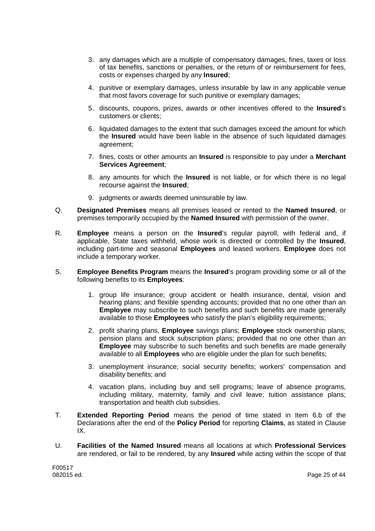- 3. any damages which are a multiple of compensatory damages, fines, taxes or loss of tax benefits, sanctions or penalties, or the return of or reimbursement for fees, costs or expenses charged by any **Insured**;
- 4. punitive or exemplary damages, unless insurable by law in any applicable venue that most favors coverage for such punitive or exemplary damages;
- 5. discounts, coupons, prizes, awards or other incentives offered to the **Insured**'s customers or clients;
- 6. liquidated damages to the extent that such damages exceed the amount for which the **Insured** would have been liable in the absence of such liquidated damages agreement;
- 7. fines, costs or other amounts an **Insured** is responsible to pay under a **Merchant Services Agreement**;
- 8. any amounts for which the **Insured** is not liable, or for which there is no legal recourse against the **Insured**;
- 9. judgments or awards deemed uninsurable by law.
- Q. **Designated Premises** means all premises leased or rented to the **Named Insured**, or premises temporarily occupied by the **Named Insured** with permission of the owner.
- R. **Employee** means a person on the **Insured**'s regular payroll, with federal and, if applicable, State taxes withheld, whose work is directed or controlled by the **Insured**, including part-time and seasonal **Employees** and leased workers. **Employee** does not include a temporary worker.
- S. **Employee Benefits Program** means the **Insured**'s program providing some or all of the following benefits to its **Employees**:
	- 1. group life insurance; group accident or health insurance, dental, vision and hearing plans; and flexible spending accounts; provided that no one other than an **Employee** may subscribe to such benefits and such benefits are made generally available to those **Employees** who satisfy the plan's eligibility requirements;
	- 2. profit sharing plans, **Employee** savings plans; **Employee** stock ownership plans; pension plans and stock subscription plans; provided that no one other than an **Employee** may subscribe to such benefits and such benefits are made generally available to all **Employees** who are eligible under the plan for such benefits;
	- 3. unemployment insurance; social security benefits; workers' compensation and disability benefits; and
	- 4. vacation plans, including buy and sell programs; leave of absence programs, including military, maternity, family and civil leave; tuition assistance plans; transportation and health club subsidies.
- T. **Extended Reporting Period** means the period of time stated in Item 6.b of the Declarations after the end of the **Policy Period** for reporting **Claims**, as stated in Clause IX.
- U. **Facilities of the Named Insured** means all locations at which **Professional Services** are rendered, or fail to be rendered, by any **Insured** while acting within the scope of that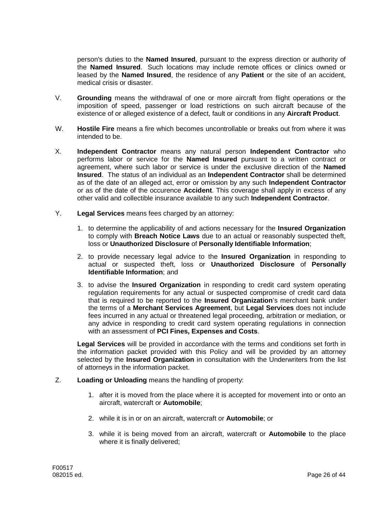person's duties to the **Named Insured**, pursuant to the express direction or authority of the **Named Insured**. Such locations may include remote offices or clinics owned or leased by the **Named Insured**, the residence of any **Patient** or the site of an accident, medical crisis or disaster.

- V. **Grounding** means the withdrawal of one or more aircraft from flight operations or the imposition of speed, passenger or load restrictions on such aircraft because of the existence of or alleged existence of a defect, fault or conditions in any **Aircraft Product**.
- W. **Hostile Fire** means a fire which becomes uncontrollable or breaks out from where it was intended to be.
- X. **Independent Contractor** means any natural person **Independent Contractor** who performs labor or service for the **Named Insured** pursuant to a written contract or agreement, where such labor or service is under the exclusive direction of the **Named Insured**. The status of an individual as an **Independent Contractor** shall be determined as of the date of an alleged act, error or omission by any such **Independent Contractor** or as of the date of the occurence **Accident**. This coverage shall apply in excess of any other valid and collectible insurance available to any such **Independent Contractor**.
- Y. **Legal Services** means fees charged by an attorney:
	- 1. to determine the applicability of and actions necessary for the **Insured Organization** to comply with **Breach Notice Laws** due to an actual or reasonably suspected theft, loss or **Unauthorized Disclosure** of **Personally Identifiable Information**;
	- 2. to provide necessary legal advice to the **Insured Organization** in responding to actual or suspected theft, loss or **Unauthorized Disclosure** of **Personally Identifiable Information**; and
	- 3. to advise the **Insured Organization** in responding to credit card system operating regulation requirements for any actual or suspected compromise of credit card data that is required to be reported to the **Insured Organization**'s merchant bank under the terms of a **Merchant Services Agreement**, but **Legal Services** does not include fees incurred in any actual or threatened legal proceeding, arbitration or mediation, or any advice in responding to credit card system operating regulations in connection with an assessment of **PCI Fines, Expenses and Costs**.

**Legal Services** will be provided in accordance with the terms and conditions set forth in the information packet provided with this Policy and will be provided by an attorney selected by the **Insured Organization** in consultation with the Underwriters from the list of attorneys in the information packet.

- Z. **Loading or Unloading** means the handling of property:
	- 1. after it is moved from the place where it is accepted for movement into or onto an aircraft, watercraft or **Automobile**;
	- 2. while it is in or on an aircraft, watercraft or **Automobile**; or
	- 3. while it is being moved from an aircraft, watercraft or **Automobile** to the place where it is finally delivered;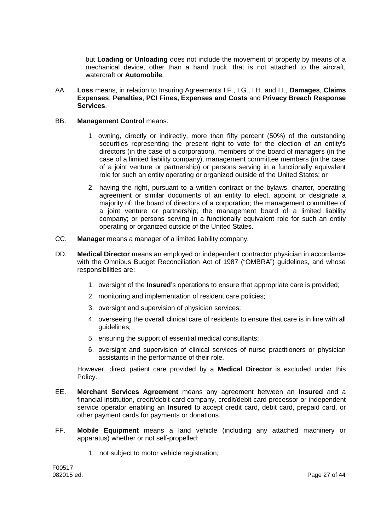but **Loading or Unloading** does not include the movement of property by means of a mechanical device, other than a hand truck, that is not attached to the aircraft, watercraft or **Automobile**.

AA. **Loss** means, in relation to Insuring Agreements I.F., I.G., I.H. and I.I., **Damages**, **Claims Expenses**, **Penalties**, **PCI Fines, Expenses and Costs** and **Privacy Breach Response Services**.

### BB. **Management Control** means:

- 1. owning, directly or indirectly, more than fifty percent (50%) of the outstanding securities representing the present right to vote for the election of an entity's directors (in the case of a corporation), members of the board of managers (in the case of a limited liability company), management committee members (in the case of a joint venture or partnership) or persons serving in a functionally equivalent role for such an entity operating or organized outside of the United States; or
- 2. having the right, pursuant to a written contract or the bylaws, charter, operating agreement or similar documents of an entity to elect, appoint or designate a majority of: the board of directors of a corporation; the management committee of a joint venture or partnership; the management board of a limited liability company; or persons serving in a functionally equivalent role for such an entity operating or organized outside of the United States.
- CC. **Manager** means a manager of a limited liability company.
- DD. **Medical Director** means an employed or independent contractor physician in accordance with the Omnibus Budget Reconciliation Act of 1987 ("OMBRA") guidelines, and whose responsibilities are:
	- 1. oversight of the **Insured**'s operations to ensure that appropriate care is provided;
	- 2. monitoring and implementation of resident care policies;
	- 3. oversight and supervision of physician services;
	- 4. overseeing the overall clinical care of residents to ensure that care is in line with all guidelines;
	- 5. ensuring the support of essential medical consultants;
	- 6. oversight and supervision of clinical services of nurse practitioners or physician assistants in the performance of their role.

However, direct patient care provided by a **Medical Director** is excluded under this Policy.

- EE. **Merchant Services Agreement** means any agreement between an **Insured** and a financial institution, credit/debit card company, credit/debit card processor or independent service operator enabling an **Insured** to accept credit card, debit card, prepaid card, or other payment cards for payments or donations.
- FF. **Mobile Equipment** means a land vehicle (including any attached machinery or apparatus) whether or not self-propelled:
	- 1. not subject to motor vehicle registration;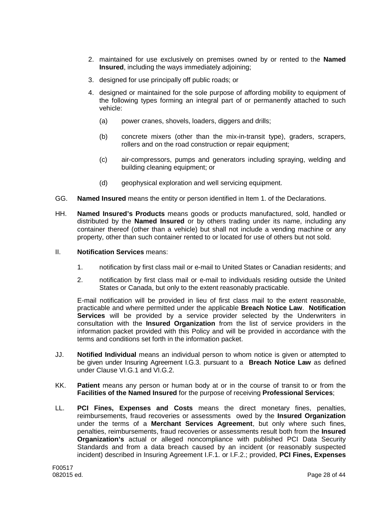- 2. maintained for use exclusively on premises owned by or rented to the **Named Insured**, including the ways immediately adjoining;
- 3. designed for use principally off public roads; or
- 4. designed or maintained for the sole purpose of affording mobility to equipment of the following types forming an integral part of or permanently attached to such vehicle:
	- (a) power cranes, shovels, loaders, diggers and drills;
	- (b) concrete mixers (other than the mix-in-transit type), graders, scrapers, rollers and on the road construction or repair equipment;
	- (c) air-compressors, pumps and generators including spraying, welding and building cleaning equipment; or
	- (d) geophysical exploration and well servicing equipment.
- GG. **Named Insured** means the entity or person identified in Item 1. of the Declarations.
- HH. **Named Insured's Products** means goods or products manufactured, sold, handled or distributed by the **Named Insured** or by others trading under its name, including any container thereof (other than a vehicle) but shall not include a vending machine or any property, other than such container rented to or located for use of others but not sold.
- II. **Notification Services** means:
	- 1. notification by first class mail or e-mail to United States or Canadian residents; and
	- 2. notification by first class mail or e-mail to individuals residing outside the United States or Canada, but only to the extent reasonably practicable.

E-mail notification will be provided in lieu of first class mail to the extent reasonable, practicable and where permitted under the applicable **Breach Notice Law**. **Notification Services** will be provided by a service provider selected by the Underwriters in consultation with the **Insured Organization** from the list of service providers in the information packet provided with this Policy and will be provided in accordance with the terms and conditions set forth in the information packet.

- JJ. **Notified Individual** means an individual person to whom notice is given or attempted to be given under Insuring Agreement I.G.3. pursuant to a **Breach Notice Law** as defined under Clause VI.G.1 and VI.G.2.
- KK. **Patient** means any person or human body at or in the course of transit to or from the **Facilities of the Named Insured** for the purpose of receiving **Professional Services**;
- LL. **PCI Fines, Expenses and Costs** means the direct monetary fines, penalties, reimbursements, fraud recoveries or assessments owed by the **Insured Organization** under the terms of a **Merchant Services Agreement**, but only where such fines, penalties, reimbursements, fraud recoveries or assessments result both from the **Insured Organization's** actual or alleged noncompliance with published PCI Data Security Standards and from a data breach caused by an incident (or reasonably suspected incident) described in Insuring Agreement I.F.1. or I.F.2.; provided, **PCI Fines, Expenses**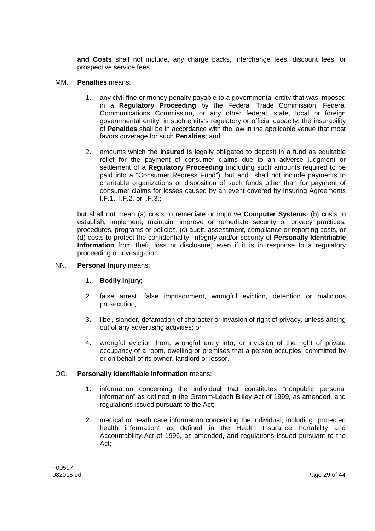**and Costs** shall not include, any charge backs, interchange fees, discount fees, or prospective service fees.

- MM. **Penalties** means:
	- 1. any civil fine or money penalty payable to a governmental entity that was imposed in a **Regulatory Proceeding** by the Federal Trade Commission, Federal Communications Commission, or any other federal, state, local or foreign governmental entity, in such entity's regulatory or official capacity; the insurability of **Penalties** shall be in accordance with the law in the applicable venue that most favors coverage for such **Penalties**; and
	- 2. amounts which the **Insured** is legally obligated to deposit in a fund as equitable relief for the payment of consumer claims due to an adverse judgment or settlement of a **Regulatory Proceeding** (including such amounts required to be paid into a "Consumer Redress Fund"); but and shall not include payments to charitable organizations or disposition of such funds other than for payment of consumer claims for losses caused by an event covered by Insuring Agreements I.F.1., I.F.2. or I.F.3.;

but shall not mean (a) costs to remediate or improve **Computer Systems**, (b) costs to establish, implement, maintain, improve or remediate security or privacy practices, procedures, programs or policies, (c) audit, assessment, compliance or reporting costs, or (d) costs to protect the confidentiality, integrity and/or security of **Personally Identifiable Information** from theft, loss or disclosure, even if it is in response to a regulatory proceeding or investigation.

### NN. **Personal Injury** means:

- 1. **Bodily Injury**;
- 2. false arrest, false imprisonment, wrongful eviction, detention or malicious prosecution;
- 3. libel, slander, defamation of character or invasion of right of privacy, unless arising out of any advertising activities; or
- 4. wrongful eviction from, wrongful entry into, or invasion of the right of private occupancy of a room, dwelling or premises that a person occupies, committed by or on behalf of its owner, landlord or lessor.

### OO. **Personally Identifiable Information** means:

- 1. information concerning the individual that constitutes "nonpublic personal information" as defined in the Gramm-Leach Bliley Act of 1999, as amended, and regulations issued pursuant to the Act;
- 2. medical or heath care information concerning the individual, including "protected health information" as defined in the Health Insurance Portability and Accountability Act of 1996, as amended, and regulations issued pursuant to the Act;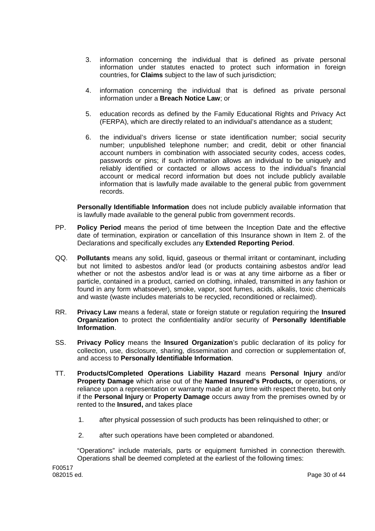- 3. information concerning the individual that is defined as private personal information under statutes enacted to protect such information in foreign countries, for **Claims** subject to the law of such jurisdiction;
- 4. information concerning the individual that is defined as private personal information under a **Breach Notice Law**; or
- 5. education records as defined by the Family Educational Rights and Privacy Act (FERPA), which are directly related to an individual's attendance as a student;
- 6. the individual's drivers license or state identification number; social security number; unpublished telephone number; and credit, debit or other financial account numbers in combination with associated security codes, access codes, passwords or pins; if such information allows an individual to be uniquely and reliably identified or contacted or allows access to the individual's financial account or medical record information but does not include publicly available information that is lawfully made available to the general public from government records.

**Personally Identifiable Information** does not include publicly available information that is lawfully made available to the general public from government records.

- PP. **Policy Period** means the period of time between the Inception Date and the effective date of termination, expiration or cancellation of this Insurance shown in Item 2. of the Declarations and specifically excludes any **Extended Reporting Period**.
- QQ. **Pollutants** means any solid, liquid, gaseous or thermal irritant or contaminant, including but not limited to asbestos and/or lead (or products containing asbestos and/or lead whether or not the asbestos and/or lead is or was at any time airborne as a fiber or particle, contained in a product, carried on clothing, inhaled, transmitted in any fashion or found in any form whatsoever), smoke, vapor, soot fumes, acids, alkalis, toxic chemicals and waste (waste includes materials to be recycled, reconditioned or reclaimed).
- RR. **Privacy Law** means a federal, state or foreign statute or regulation requiring the **Insured Organization** to protect the confidentiality and/or security of **Personally Identifiable Information**.
- SS. **Privacy Policy** means the **Insured Organization**'s public declaration of its policy for collection, use, disclosure, sharing, dissemination and correction or supplementation of, and access to **Personally Identifiable Information**.
- TT. **Products/Completed Operations Liability Hazard** means **Personal Injury** and/or **Property Damage** which arise out of the **Named Insured's Products,** or operations, or reliance upon a representation or warranty made at any time with respect thereto, but only if the **Personal Injury** or **Property Damage** occurs away from the premises owned by or rented to the **Insured,** and takes place
	- 1. after physical possession of such products has been relinquished to other; or
	- 2. after such operations have been completed or abandoned.

"Operations" include materials, parts or equipment furnished in connection therewith. Operations shall be deemed completed at the earliest of the following times: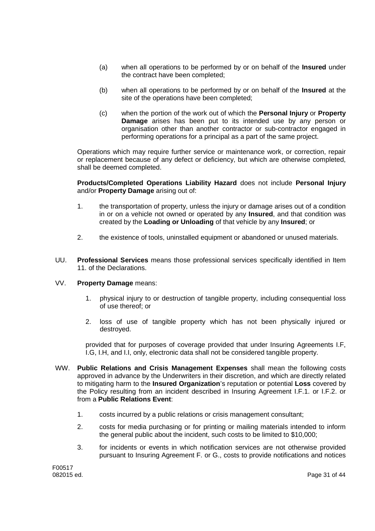- (a) when all operations to be performed by or on behalf of the **Insured** under the contract have been completed;
- (b) when all operations to be performed by or on behalf of the **Insured** at the site of the operations have been completed;
- (c) when the portion of the work out of which the **Personal Injury** or **Property Damage** arises has been put to its intended use by any person or organisation other than another contractor or sub-contractor engaged in performing operations for a principal as a part of the same project.

Operations which may require further service or maintenance work, or correction, repair or replacement because of any defect or deficiency, but which are otherwise completed, shall be deemed completed.

**Products/Completed Operations Liability Hazard** does not include **Personal Injury** and/or **Property Damage** arising out of:

- 1. the transportation of property, unless the injury or damage arises out of a condition in or on a vehicle not owned or operated by any **Insured**, and that condition was created by the **Loading or Unloading** of that vehicle by any **Insured**; or
- 2. the existence of tools, uninstalled equipment or abandoned or unused materials.
- UU. **Professional Services** means those professional services specifically identified in Item 11. of the Declarations.

### VV. **Property Damage** means:

- 1. physical injury to or destruction of tangible property, including consequential loss of use thereof; or
- 2. loss of use of tangible property which has not been physically injured or destroyed.

provided that for purposes of coverage provided that under Insuring Agreements I.F, I.G, I.H, and I.I, only, electronic data shall not be considered tangible property.

- WW. **Public Relations and Crisis Management Expenses** shall mean the following costs approved in advance by the Underwriters in their discretion, and which are directly related to mitigating harm to the **Insured Organization**'s reputation or potential **Loss** covered by the Policy resulting from an incident described in Insuring Agreement I.F.1. or I.F.2. or from a **Public Relations Event**:
	- 1. costs incurred by a public relations or crisis management consultant;
	- 2. costs for media purchasing or for printing or mailing materials intended to inform the general public about the incident, such costs to be limited to \$10,000;
	- 3. for incidents or events in which notification services are not otherwise provided pursuant to Insuring Agreement F. or G., costs to provide notifications and notices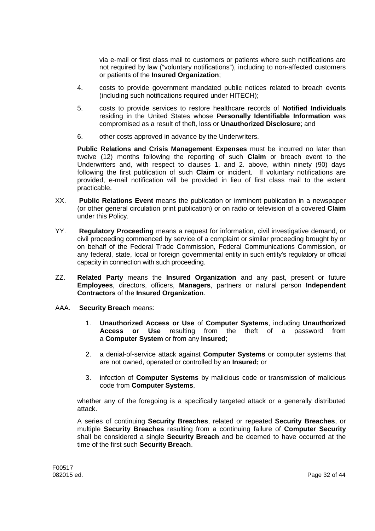via e-mail or first class mail to customers or patients where such notifications are not required by law ("voluntary notifications"), including to non-affected customers or patients of the **Insured Organization**;

- 4. costs to provide government mandated public notices related to breach events (including such notifications required under HITECH);
- 5. costs to provide services to restore healthcare records of **Notified Individuals** residing in the United States whose **Personally Identifiable Information** was compromised as a result of theft, loss or **Unauthorized Disclosure**; and
- 6. other costs approved in advance by the Underwriters.

**Public Relations and Crisis Management Expenses** must be incurred no later than twelve (12) months following the reporting of such **Claim** or breach event to the Underwriters and, with respect to clauses 1. and 2. above, within ninety (90) days following the first publication of such **Claim** or incident. If voluntary notifications are provided, e-mail notification will be provided in lieu of first class mail to the extent practicable.

- XX. **Public Relations Event** means the publication or imminent publication in a newspaper (or other general circulation print publication) or on radio or television of a covered **Claim** under this Policy.
- YY. **Regulatory Proceeding** means a request for information, civil investigative demand, or civil proceeding commenced by service of a complaint or similar proceeding brought by or on behalf of the Federal Trade Commission, Federal Communications Commission, or any federal, state, local or foreign governmental entity in such entity's regulatory or official capacity in connection with such proceeding.
- ZZ. **Related Party** means the **Insured Organization** and any past, present or future **Employees**, directors, officers, **Managers**, partners or natural person **Independent Contractors** of the **Insured Organization**.
- AAA. **Security Breach** means:
	- 1. **Unauthorized Access or Use** of **Computer Systems**, including **Unauthorized Access or Use** resulting from the theft of a password from a **Computer System** or from any **Insured**;
	- 2. a denial-of-service attack against **Computer Systems** or computer systems that are not owned, operated or controlled by an **Insured;** or
	- 3. infection of **Computer Systems** by malicious code or transmission of malicious code from **Computer Systems**,

whether any of the foregoing is a specifically targeted attack or a generally distributed attack.

A series of continuing **Security Breaches**, related or repeated **Security Breaches**, or multiple **Security Breaches** resulting from a continuing failure of **Computer Security** shall be considered a single **Security Breach** and be deemed to have occurred at the time of the first such **Security Breach**.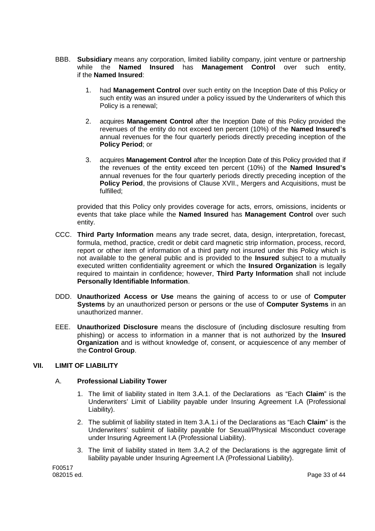- BBB. **Subsidiary** means any corporation, limited liability company, joint venture or partnership while the **Named Insured** has **Management Control** over such entity, if the **Named Insured**:
	- 1. had **Management Control** over such entity on the Inception Date of this Policy or such entity was an insured under a policy issued by the Underwriters of which this Policy is a renewal;
	- 2. acquires **Management Control** after the Inception Date of this Policy provided the revenues of the entity do not exceed ten percent (10%) of the **Named Insured's** annual revenues for the four quarterly periods directly preceding inception of the **Policy Period**; or
	- 3. acquires **Management Control** after the Inception Date of this Policy provided that if the revenues of the entity exceed ten percent (10%) of the **Named Insured's** annual revenues for the four quarterly periods directly preceding inception of the **Policy Period**, the provisions of Clause XVII., Mergers and Acquisitions, must be fulfilled;

provided that this Policy only provides coverage for acts, errors, omissions, incidents or events that take place while the **Named Insured** has **Management Control** over such entity.

- CCC. **Third Party Information** means any trade secret, data, design, interpretation, forecast, formula, method, practice, credit or debit card magnetic strip information, process, record, report or other item of information of a third party not insured under this Policy which is not available to the general public and is provided to the **Insured** subject to a mutually executed written confidentiality agreement or which the **Insured Organization** is legally required to maintain in confidence; however, **Third Party Information** shall not include **Personally Identifiable Information**.
- DDD. **Unauthorized Access or Use** means the gaining of access to or use of **Computer Systems** by an unauthorized person or persons or the use of **Computer Systems** in an unauthorized manner.
- EEE. **Unauthorized Disclosure** means the disclosure of (including disclosure resulting from phishing) or access to information in a manner that is not authorized by the **Insured Organization** and is without knowledge of, consent, or acquiescence of any member of the **Control Group**.

# **VII. LIMIT OF LIABILITY**

### A. **Professional Liability Tower**

- 1. The limit of liability stated in Item 3.A.1. of the Declarations as "Each **Claim**" is the Underwriters' Limit of Liability payable under Insuring Agreement I.A (Professional Liability).
- 2. The sublimit of liability stated in Item 3.A.1.i of the Declarations as "Each **Claim**" is the Underwriters' sublimit of liability payable for Sexual/Physical Misconduct coverage under Insuring Agreement I.A (Professional Liability).
- 3. The limit of liability stated in Item 3.A.2 of the Declarations is the aggregate limit of liability payable under Insuring Agreement I.A (Professional Liability).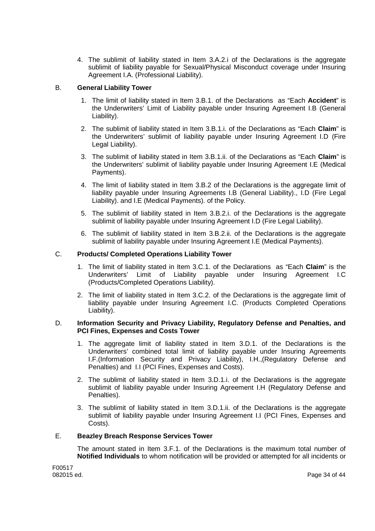4. The sublimit of liability stated in Item 3.A.2.i of the Declarations is the aggregate sublimit of liability payable for Sexual/Physical Misconduct coverage under Insuring Agreement I.A. (Professional Liability).

# B. **General Liability Tower**

- 1. The limit of liability stated in Item 3.B.1. of the Declarations as "Each **Accident**" is the Underwriters' Limit of Liability payable under Insuring Agreement I.B (General Liability).
- 2. The sublimit of liability stated in Item 3.B.1.i. of the Declarations as "Each **Claim**" is the Underwriters' sublimit of liability payable under Insuring Agreement I.D (Fire Legal Liability).
- 3. The sublimit of liability stated in Item 3.B.1.ii. of the Declarations as "Each **Claim**" is the Underwriters' sublimit of liability payable under Insuring Agreement I.E (Medical Payments).
- 4. The limit of liability stated in Item 3.B.2 of the Declarations is the aggregate limit of liability payable under Insuring Agreements I.B (General Liability)., I.D (Fire Legal Liability). and I.E (Medical Payments). of the Policy.
- 5. The sublimit of liability stated in Item 3.B.2.i. of the Declarations is the aggregate sublimit of liability payable under Insuring Agreement I.D (Fire Legal Liability).
- 6. The sublimit of liability stated in Item 3.B.2.ii. of the Declarations is the aggregate sublimit of liability payable under Insuring Agreement I.E (Medical Payments).

# C. **Products/ Completed Operations Liability Tower**

- 1. The limit of liability stated in Item 3.C.1. of the Declarations as "Each **Claim**" is the Underwriters' Limit of Liability payable under Insuring Agreement I.C (Products/Completed Operations Liability).
- 2. The limit of liability stated in Item 3.C.2. of the Declarations is the aggregate limit of liability payable under Insuring Agreement I.C. (Products Completed Operations Liability).

## D. **Information Security and Privacy Liability, Regulatory Defense and Penalties, and PCI Fines, Expenses and Costs Tower**

- 1. The aggregate limit of liability stated in Item 3.D.1. of the Declarations is the Underwriters' combined total limit of liability payable under Insuring Agreements I.F.(Information Security and Privacy Liability), I.H.,(Regulatory Defense and Penalties) and I.I (PCI Fines, Expenses and Costs).
- 2. The sublimit of liability stated in Item 3.D.1.i. of the Declarations is the aggregate sublimit of liability payable under Insuring Agreement I.H (Regulatory Defense and Penalties).
- 3. The sublimit of liability stated in Item 3.D.1.ii. of the Declarations is the aggregate sublimit of liability payable under Insuring Agreement I.I (PCI Fines, Expenses and Costs).

### E. **Beazley Breach Response Services Tower**

The amount stated in Item 3.F.1. of the Declarations is the maximum total number of **Notified Individuals** to whom notification will be provided or attempted for all incidents or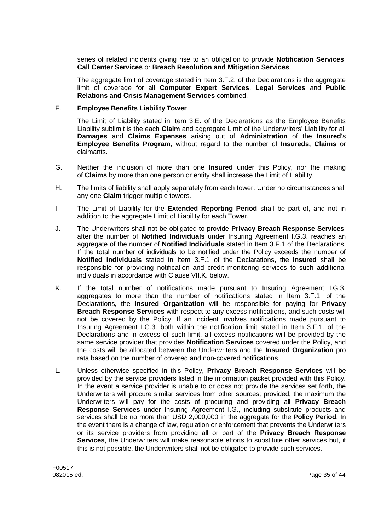series of related incidents giving rise to an obligation to provide **Notification Services**, **Call Center Services** or **Breach Resolution and Mitigation Services**.

The aggregate limit of coverage stated in Item 3.F.2. of the Declarations is the aggregate limit of coverage for all **Computer Expert Services**, **Legal Services** and **Public Relations and Crisis Management Services** combined.

### F. **Employee Benefits Liability Tower**

The Limit of Liability stated in Item 3.E. of the Declarations as the Employee Benefits Liability sublimit is the each **Claim** and aggregate Limit of the Underwriters' Liability for all **Damages** and **Claims Expenses** arising out of **Administration** of the **Insured**'s **Employee Benefits Program**, without regard to the number of **Insureds, Claims** or claimants.

- G. Neither the inclusion of more than one **Insured** under this Policy, nor the making of **Claims** by more than one person or entity shall increase the Limit of Liability.
- H. The limits of liability shall apply separately from each tower. Under no circumstances shall any one **Claim** trigger multiple towers.
- I. The Limit of Liability for the **Extended Reporting Period** shall be part of, and not in addition to the aggregate Limit of Liability for each Tower.
- J. The Underwriters shall not be obligated to provide **Privacy Breach Response Services**, after the number of **Notified Individuals** under Insuring Agreement I.G.3. reaches an aggregate of the number of **Notified Individuals** stated in Item 3.F.1 of the Declarations. If the total number of individuals to be notified under the Policy exceeds the number of **Notified Individuals** stated in Item 3.F.1 of the Declarations, the **Insured** shall be responsible for providing notification and credit monitoring services to such additional individuals in accordance with Clause VII.K. below.
- K. If the total number of notifications made pursuant to Insuring Agreement I.G.3. aggregates to more than the number of notifications stated in Item 3.F.1. of the Declarations, the **Insured Organization** will be responsible for paying for **Privacy Breach Response Services** with respect to any excess notifications, and such costs will not be covered by the Policy. If an incident involves notifications made pursuant to Insuring Agreement I.G.3. both within the notification limit stated in Item 3.F.1. of the Declarations and in excess of such limit, all excess notifications will be provided by the same service provider that provides **Notification Services** covered under the Policy, and the costs will be allocated between the Underwriters and the **Insured Organization** pro rata based on the number of covered and non-covered notifications.
- L. Unless otherwise specified in this Policy, **Privacy Breach Response Services** will be provided by the service providers listed in the information packet provided with this Policy. In the event a service provider is unable to or does not provide the services set forth, the Underwriters will procure similar services from other sources; provided, the maximum the Underwriters will pay for the costs of procuring and providing all **Privacy Breach Response Services** under Insuring Agreement I.G., including substitute products and services shall be no more than USD 2,000,000 in the aggregate for the **Policy Period**. In the event there is a change of law, regulation or enforcement that prevents the Underwriters or its service providers from providing all or part of the **Privacy Breach Response Services**, the Underwriters will make reasonable efforts to substitute other services but, if this is not possible, the Underwriters shall not be obligated to provide such services.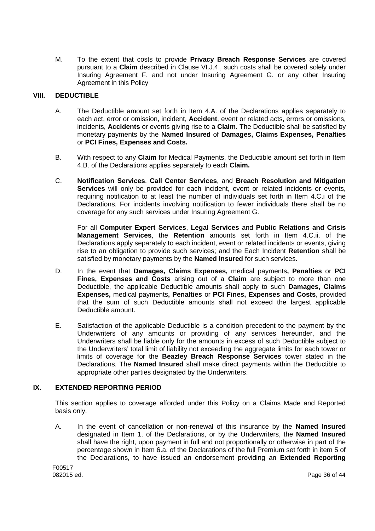M. To the extent that costs to provide **Privacy Breach Response Services** are covered pursuant to a **Claim** described in Clause VI.J.4., such costs shall be covered solely under Insuring Agreement F. and not under Insuring Agreement G. or any other Insuring Agreement in this Policy

# **VIII. DEDUCTIBLE**

- A. The Deductible amount set forth in Item 4.A. of the Declarations applies separately to each act, error or omission, incident, **Accident**, event or related acts, errors or omissions, incidents, **Accidents** or events giving rise to a **Claim**. The Deductible shall be satisfied by monetary payments by the **Named Insured** of **Damages, Claims Expenses, Penalties** or **PCI Fines, Expenses and Costs.**
- B. With respect to any **Claim** for Medical Payments, the Deductible amount set forth in Item 4.B. of the Declarations applies separately to each **Claim.**
- C. **Notification Services**, **Call Center Services**, and **Breach Resolution and Mitigation Services** will only be provided for each incident, event or related incidents or events, requiring notification to at least the number of individuals set forth in Item 4.C.i of the Declarations. For incidents involving notification to fewer individuals there shall be no coverage for any such services under Insuring Agreement G.

For all **Computer Expert Services**, **Legal Services** and **Public Relations and Crisis Management Services**, the **Retention** amounts set forth in Item 4.C.ii. of the Declarations apply separately to each incident, event or related incidents or events, giving rise to an obligation to provide such services; and the Each Incident **Retention** shall be satisfied by monetary payments by the **Named Insured** for such services.

- D. In the event that **Damages, Claims Expenses,** medical payments**, Penalties** or **PCI Fines, Expenses and Costs** arising out of a **Claim** are subject to more than one Deductible, the applicable Deductible amounts shall apply to such **Damages, Claims Expenses,** medical payments**, Penalties** or **PCI Fines, Expenses and Costs**, provided that the sum of such Deductible amounts shall not exceed the largest applicable Deductible amount.
- E. Satisfaction of the applicable Deductible is a condition precedent to the payment by the Underwriters of any amounts or providing of any services hereunder, and the Underwriters shall be liable only for the amounts in excess of such Deductible subject to the Underwriters' total limit of liability not exceeding the aggregate limits for each tower or limits of coverage for the **Beazley Breach Response Services** tower stated in the Declarations. The **Named Insured** shall make direct payments within the Deductible to appropriate other parties designated by the Underwriters.

### **IX. EXTENDED REPORTING PERIOD**

This section applies to coverage afforded under this Policy on a Claims Made and Reported basis only.

A. In the event of cancellation or non-renewal of this insurance by the **Named Insured** designated in Item 1. of the Declarations, or by the Underwriters, the **Named Insured** shall have the right, upon payment in full and not proportionally or otherwise in part of the percentage shown in Item 6.a. of the Declarations of the full Premium set forth in item 5 of the Declarations, to have issued an endorsement providing an **Extended Reporting**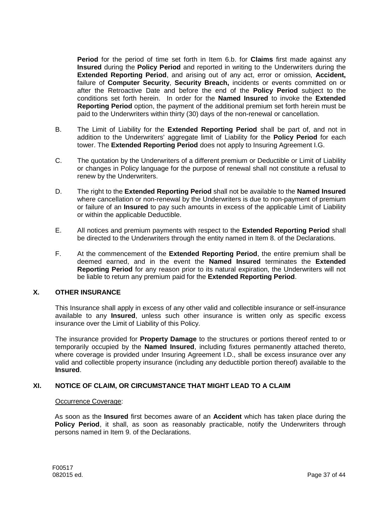**Period** for the period of time set forth in Item 6.b. for **Claims** first made against any **Insured** during the **Policy Period** and reported in writing to the Underwriters during the **Extended Reporting Period**, and arising out of any act, error or omission, **Accident,** failure of **Computer Security**, **Security Breach,** incidents or events committed on or after the Retroactive Date and before the end of the **Policy Period** subject to the conditions set forth herein. In order for the **Named Insured** to invoke the **Extended Reporting Period** option, the payment of the additional premium set forth herein must be paid to the Underwriters within thirty (30) days of the non-renewal or cancellation.

- B. The Limit of Liability for the **Extended Reporting Period** shall be part of, and not in addition to the Underwriters' aggregate limit of Liability for the **Policy Period** for each tower. The **Extended Reporting Period** does not apply to Insuring Agreement I.G.
- C. The quotation by the Underwriters of a different premium or Deductible or Limit of Liability or changes in Policy language for the purpose of renewal shall not constitute a refusal to renew by the Underwriters.
- D. The right to the **Extended Reporting Period** shall not be available to the **Named Insured** where cancellation or non-renewal by the Underwriters is due to non-payment of premium or failure of an **Insured** to pay such amounts in excess of the applicable Limit of Liability or within the applicable Deductible.
- E. All notices and premium payments with respect to the **Extended Reporting Period** shall be directed to the Underwriters through the entity named in Item 8. of the Declarations.
- F. At the commencement of the **Extended Reporting Period**, the entire premium shall be deemed earned, and in the event the **Named Insured** terminates the **Extended Reporting Period** for any reason prior to its natural expiration, the Underwriters will not be liable to return any premium paid for the **Extended Reporting Period**.

### **X. OTHER INSURANCE**

This Insurance shall apply in excess of any other valid and collectible insurance or self-insurance available to any **Insured**, unless such other insurance is written only as specific excess insurance over the Limit of Liability of this Policy.

The insurance provided for **Property Damage** to the structures or portions thereof rented to or temporarily occupied by the **Named Insured**, including fixtures permanently attached thereto, where coverage is provided under Insuring Agreement I.D., shall be excess insurance over any valid and collectible property insurance (including any deductible portion thereof) available to the **Insured**.

### **XI. NOTICE OF CLAIM, OR CIRCUMSTANCE THAT MIGHT LEAD TO A CLAIM**

#### Occurrence Coverage:

As soon as the **Insured** first becomes aware of an **Accident** which has taken place during the **Policy Period**, it shall, as soon as reasonably practicable, notify the Underwriters through persons named in Item 9. of the Declarations.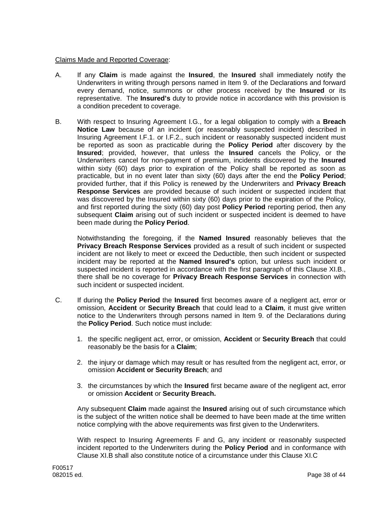### Claims Made and Reported Coverage:

- A. If any **Claim** is made against the **Insured**, the **Insured** shall immediately notify the Underwriters in writing through persons named in Item 9. of the Declarations and forward every demand, notice, summons or other process received by the **Insured** or its representative. The **Insured's** duty to provide notice in accordance with this provision is a condition precedent to coverage.
- B. With respect to Insuring Agreement I.G., for a legal obligation to comply with a **Breach Notice Law** because of an incident (or reasonably suspected incident) described in Insuring Agreement I.F.1. or I.F.2., such incident or reasonably suspected incident must be reported as soon as practicable during the **Policy Period** after discovery by the **Insured**; provided, however, that unless the **Insured** cancels the Policy, or the Underwriters cancel for non-payment of premium, incidents discovered by the **Insured** within sixty (60) days prior to expiration of the Policy shall be reported as soon as practicable, but in no event later than sixty (60) days after the end the **Policy Period**; provided further, that if this Policy is renewed by the Underwriters and **Privacy Breach Response Services** are provided because of such incident or suspected incident that was discovered by the Insured within sixty (60) days prior to the expiration of the Policy, and first reported during the sixty (60) day post **Policy Period** reporting period, then any subsequent **Claim** arising out of such incident or suspected incident is deemed to have been made during the **Policy Period**.

Notwithstanding the foregoing, if the **Named Insured** reasonably believes that the **Privacy Breach Response Services** provided as a result of such incident or suspected incident are not likely to meet or exceed the Deductible, then such incident or suspected incident may be reported at the **Named Insured's** option, but unless such incident or suspected incident is reported in accordance with the first paragraph of this Clause XI.B., there shall be no coverage for **Privacy Breach Response Services** in connection with such incident or suspected incident.

- C. If during the **Policy Period** the **Insured** first becomes aware of a negligent act, error or omission, **Accident** or **Security Breach** that could lead to a **Claim**, it must give written notice to the Underwriters through persons named in Item 9. of the Declarations during the **Policy Period**. Such notice must include:
	- 1. the specific negligent act, error, or omission, **Accident** or **Security Breach** that could reasonably be the basis for a **Claim**;
	- 2. the injury or damage which may result or has resulted from the negligent act, error, or omission **Accident or Security Breach**; and
	- 3. the circumstances by which the **Insured** first became aware of the negligent act, error or omission **Accident** or **Security Breach.**

Any subsequent **Claim** made against the **Insured** arising out of such circumstance which is the subject of the written notice shall be deemed to have been made at the time written notice complying with the above requirements was first given to the Underwriters.

With respect to Insuring Agreements F and G, any incident or reasonably suspected incident reported to the Underwriters during the **Policy Period** and in conformance with Clause XI.B shall also constitute notice of a circumstance under this Clause XI.C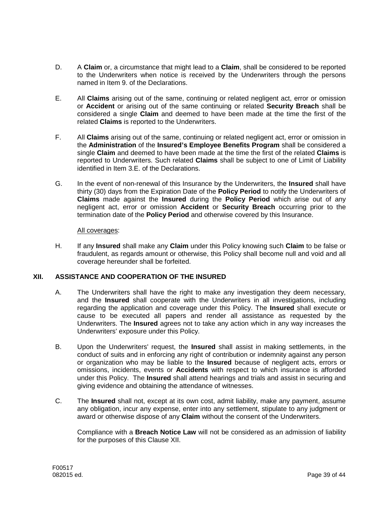- D. A **Claim** or, a circumstance that might lead to a **Claim**, shall be considered to be reported to the Underwriters when notice is received by the Underwriters through the persons named in Item 9. of the Declarations.
- E. All **Claims** arising out of the same, continuing or related negligent act, error or omission or **Accident** or arising out of the same continuing or related **Security Breach** shall be considered a single **Claim** and deemed to have been made at the time the first of the related **Claims** is reported to the Underwriters.
- F. All **Claims** arising out of the same, continuing or related negligent act, error or omission in the **Administration** of the **Insured's Employee Benefits Program** shall be considered a single **Claim** and deemed to have been made at the time the first of the related **Claims** is reported to Underwriters. Such related **Claims** shall be subject to one of Limit of Liability identified in Item 3.E. of the Declarations.
- G. In the event of non-renewal of this Insurance by the Underwriters, the **Insured** shall have thirty (30) days from the Expiration Date of the **Policy Period** to notify the Underwriters of **Claims** made against the **Insured** during the **Policy Period** which arise out of any negligent act, error or omission **Accident** or **Security Breach** occurring prior to the termination date of the **Policy Period** and otherwise covered by this Insurance.

## All coverages:

H. If any **Insured** shall make any **Claim** under this Policy knowing such **Claim** to be false or fraudulent, as regards amount or otherwise, this Policy shall become null and void and all coverage hereunder shall be forfeited.

# **XII. ASSISTANCE AND COOPERATION OF THE INSURED**

- A. The Underwriters shall have the right to make any investigation they deem necessary, and the **Insured** shall cooperate with the Underwriters in all investigations, including regarding the application and coverage under this Policy. The **Insured** shall execute or cause to be executed all papers and render all assistance as requested by the Underwriters. The **Insured** agrees not to take any action which in any way increases the Underwriters' exposure under this Policy.
- B. Upon the Underwriters' request, the **Insured** shall assist in making settlements, in the conduct of suits and in enforcing any right of contribution or indemnity against any person or organization who may be liable to the **Insured** because of negligent acts, errors or omissions, incidents, events or **Accidents** with respect to which insurance is afforded under this Policy. The **Insured** shall attend hearings and trials and assist in securing and giving evidence and obtaining the attendance of witnesses.
- C. The **Insured** shall not, except at its own cost, admit liability, make any payment, assume any obligation, incur any expense, enter into any settlement, stipulate to any judgment or award or otherwise dispose of any **Claim** without the consent of the Underwriters.

Compliance with a **Breach Notice Law** will not be considered as an admission of liability for the purposes of this Clause XII.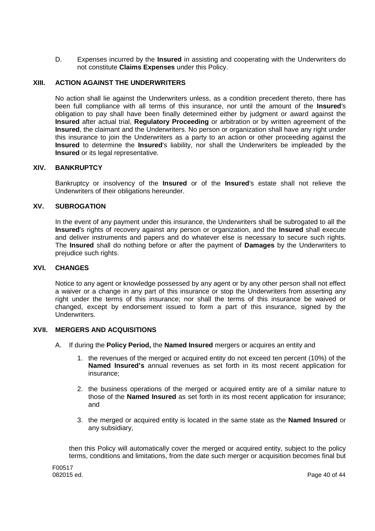D. Expenses incurred by the **Insured** in assisting and cooperating with the Underwriters do not constitute **Claims Expenses** under this Policy.

# **XIII. ACTION AGAINST THE UNDERWRITERS**

No action shall lie against the Underwriters unless, as a condition precedent thereto, there has been full compliance with all terms of this insurance, nor until the amount of the **Insured**'s obligation to pay shall have been finally determined either by judgment or award against the **Insured** after actual trial, **Regulatory Proceeding** or arbitration or by written agreement of the **Insured**, the claimant and the Underwriters. No person or organization shall have any right under this insurance to join the Underwriters as a party to an action or other proceeding against the **Insured** to determine the **Insured**'s liability, nor shall the Underwriters be impleaded by the **Insured** or its legal representative.

### **XIV. BANKRUPTCY**

Bankruptcy or insolvency of the **Insured** or of the **Insured**'s estate shall not relieve the Underwriters of their obligations hereunder.

# **XV. SUBROGATION**

In the event of any payment under this insurance, the Underwriters shall be subrogated to all the **Insured**'s rights of recovery against any person or organization, and the **Insured** shall execute and deliver instruments and papers and do whatever else is necessary to secure such rights. The **Insured** shall do nothing before or after the payment of **Damages** by the Underwriters to prejudice such rights.

### **XVI. CHANGES**

Notice to any agent or knowledge possessed by any agent or by any other person shall not effect a waiver or a change in any part of this insurance or stop the Underwriters from asserting any right under the terms of this insurance; nor shall the terms of this insurance be waived or changed, except by endorsement issued to form a part of this insurance, signed by the Underwriters.

### **XVII. MERGERS AND ACQUISITIONS**

- A. If during the **Policy Period,** the **Named Insured** mergers or acquires an entity and
	- 1. the revenues of the merged or acquired entity do not exceed ten percent (10%) of the **Named Insured's** annual revenues as set forth in its most recent application for insurance;
	- 2. the business operations of the merged or acquired entity are of a similar nature to those of the **Named Insured** as set forth in its most recent application for insurance; and
	- 3. the merged or acquired entity is located in the same state as the **Named Insured** or any subsidiary,

then this Policy will automatically cover the merged or acquired entity, subject to the policy terms, conditions and limitations, from the date such merger or acquisition becomes final but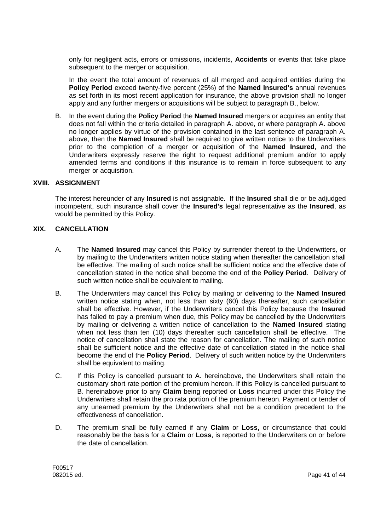only for negligent acts, errors or omissions, incidents, **Accidents** or events that take place subsequent to the merger or acquisition.

In the event the total amount of revenues of all merged and acquired entities during the **Policy Period** exceed twenty-five percent (25%) of the **Named Insured's** annual revenues as set forth in its most recent application for insurance, the above provision shall no longer apply and any further mergers or acquisitions will be subject to paragraph B., below.

B. In the event during the **Policy Period** the **Named Insured** mergers or acquires an entity that does not fall within the criteria detailed in paragraph A. above, or where paragraph A. above no longer applies by virtue of the provision contained in the last sentence of paragraph A. above, then the **Named Insured** shall be required to give written notice to the Underwriters prior to the completion of a merger or acquisition of the **Named Insured**, and the Underwriters expressly reserve the right to request additional premium and/or to apply amended terms and conditions if this insurance is to remain in force subsequent to any merger or acquisition.

#### **XVIII. ASSIGNMENT**

The interest hereunder of any **Insured** is not assignable. If the **Insured** shall die or be adjudged incompetent, such insurance shall cover the **Insured's** legal representative as the **Insured**, as would be permitted by this Policy.

#### **XIX. CANCELLATION**

- A. The **Named Insured** may cancel this Policy by surrender thereof to the Underwriters, or by mailing to the Underwriters written notice stating when thereafter the cancellation shall be effective. The mailing of such notice shall be sufficient notice and the effective date of cancellation stated in the notice shall become the end of the **Policy Period**. Delivery of such written notice shall be equivalent to mailing.
- B. The Underwriters may cancel this Policy by mailing or delivering to the **Named Insured** written notice stating when, not less than sixty (60) days thereafter, such cancellation shall be effective. However, if the Underwriters cancel this Policy because the **Insured** has failed to pay a premium when due, this Policy may be cancelled by the Underwriters by mailing or delivering a written notice of cancellation to the **Named Insured** stating when not less than ten (10) days thereafter such cancellation shall be effective. The notice of cancellation shall state the reason for cancellation. The mailing of such notice shall be sufficient notice and the effective date of cancellation stated in the notice shall become the end of the **Policy Period**. Delivery of such written notice by the Underwriters shall be equivalent to mailing.
- C. If this Policy is cancelled pursuant to A. hereinabove, the Underwriters shall retain the customary short rate portion of the premium hereon. If this Policy is cancelled pursuant to B. hereinabove prior to any **Claim** being reported or **Loss** incurred under this Policy the Underwriters shall retain the pro rata portion of the premium hereon. Payment or tender of any unearned premium by the Underwriters shall not be a condition precedent to the effectiveness of cancellation.
- D. The premium shall be fully earned if any **Claim** or **Loss,** or circumstance that could reasonably be the basis for a **Claim** or **Loss**, is reported to the Underwriters on or before the date of cancellation.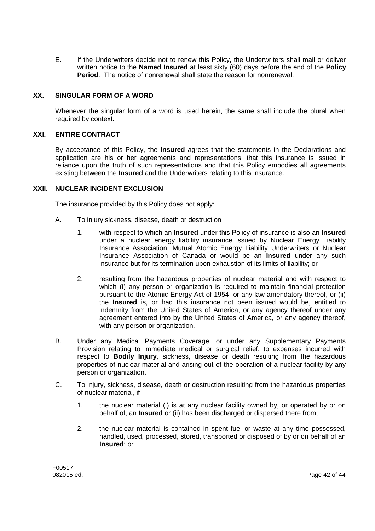E. If the Underwriters decide not to renew this Policy, the Underwriters shall mail or deliver written notice to the **Named Insured** at least sixty (60) days before the end of the **Policy Period**. The notice of nonrenewal shall state the reason for nonrenewal.

### **XX. SINGULAR FORM OF A WORD**

Whenever the singular form of a word is used herein, the same shall include the plural when required by context.

# **XXI. ENTIRE CONTRACT**

By acceptance of this Policy, the **Insured** agrees that the statements in the Declarations and application are his or her agreements and representations, that this insurance is issued in reliance upon the truth of such representations and that this Policy embodies all agreements existing between the **Insured** and the Underwriters relating to this insurance.

### **XXII. NUCLEAR INCIDENT EXCLUSION**

The insurance provided by this Policy does not apply:

- A. To injury sickness, disease, death or destruction
	- 1. with respect to which an **Insured** under this Policy of insurance is also an **Insured** under a nuclear energy liability insurance issued by Nuclear Energy Liability Insurance Association, Mutual Atomic Energy Liability Underwriters or Nuclear Insurance Association of Canada or would be an **Insured** under any such insurance but for its termination upon exhaustion of its limits of liability; or
	- 2. resulting from the hazardous properties of nuclear material and with respect to which (i) any person or organization is required to maintain financial protection pursuant to the Atomic Energy Act of 1954, or any law amendatory thereof, or (ii) the **Insured** is, or had this insurance not been issued would be, entitled to indemnity from the United States of America, or any agency thereof under any agreement entered into by the United States of America, or any agency thereof, with any person or organization.
- B. Under any Medical Payments Coverage, or under any Supplementary Payments Provision relating to immediate medical or surgical relief, to expenses incurred with respect to **Bodily Injury**, sickness, disease or death resulting from the hazardous properties of nuclear material and arising out of the operation of a nuclear facility by any person or organization.
- C. To injury, sickness, disease, death or destruction resulting from the hazardous properties of nuclear material, if
	- 1. the nuclear material (i) is at any nuclear facility owned by, or operated by or on behalf of, an **Insured** or (ii) has been discharged or dispersed there from;
	- 2. the nuclear material is contained in spent fuel or waste at any time possessed, handled, used, processed, stored, transported or disposed of by or on behalf of an **Insured**; or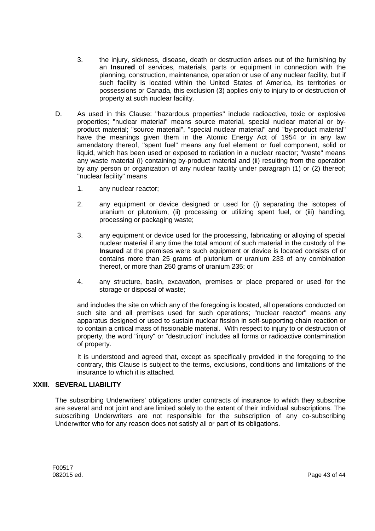- 3. the injury, sickness, disease, death or destruction arises out of the furnishing by an **Insured** of services, materials, parts or equipment in connection with the planning, construction, maintenance, operation or use of any nuclear facility, but if such facility is located within the United States of America, its territories or possessions or Canada, this exclusion (3) applies only to injury to or destruction of property at such nuclear facility.
- D. As used in this Clause: "hazardous properties" include radioactive, toxic or explosive properties; "nuclear material" means source material, special nuclear material or byproduct material; "source material", "special nuclear material" and "by-product material" have the meanings given them in the Atomic Energy Act of 1954 or in any law amendatory thereof, "spent fuel" means any fuel element or fuel component, solid or liquid, which has been used or exposed to radiation in a nuclear reactor; "waste" means any waste material (i) containing by-product material and (ii) resulting from the operation by any person or organization of any nuclear facility under paragraph (1) or (2) thereof; "nuclear facility" means
	- 1. any nuclear reactor;
	- 2. any equipment or device designed or used for (i) separating the isotopes of uranium or plutonium, (ii) processing or utilizing spent fuel, or (iii) handling, processing or packaging waste;
	- 3. any equipment or device used for the processing, fabricating or alloying of special nuclear material if any time the total amount of such material in the custody of the **Insured** at the premises were such equipment or device is located consists of or contains more than 25 grams of plutonium or uranium 233 of any combination thereof, or more than 250 grams of uranium 235; or
	- 4. any structure, basin, excavation, premises or place prepared or used for the storage or disposal of waste;

and includes the site on which any of the foregoing is located, all operations conducted on such site and all premises used for such operations; "nuclear reactor" means any apparatus designed or used to sustain nuclear fission in self-supporting chain reaction or to contain a critical mass of fissionable material. With respect to injury to or destruction of property, the word "injury" or "destruction" includes all forms or radioactive contamination of property.

It is understood and agreed that, except as specifically provided in the foregoing to the contrary, this Clause is subject to the terms, exclusions, conditions and limitations of the insurance to which it is attached.

## **XXIII. SEVERAL LIABILITY**

The subscribing Underwriters' obligations under contracts of insurance to which they subscribe are several and not joint and are limited solely to the extent of their individual subscriptions. The subscribing Underwriters are not responsible for the subscription of any co-subscribing Underwriter who for any reason does not satisfy all or part of its obligations.